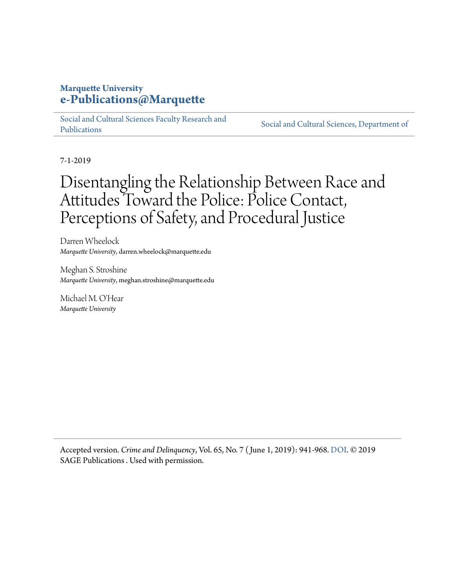#### **Marquette University [e-Publications@Marquette](https://epublications.marquette.edu/)**

[Social and Cultural Sciences Faculty Research and](https://epublications.marquette.edu/socs_fac) [Publications](https://epublications.marquette.edu/socs_fac)

[Social and Cultural Sciences, Department of](https://epublications.marquette.edu/socs)

7-1-2019

# Disentangling the Relationship Between Race and Attitudes Toward the Police: Police Contact, Perceptions of Safety, and Procedural Justice

Darren Wheelock *Marquette University*, darren.wheelock@marquette.edu

Meghan S. Stroshine *Marquette University*, meghan.stroshine@marquette.edu

Michael M. O'Hear *Marquette University*

Accepted version. *Crime and Delinquency*, Vol. 65, No. 7 ( June 1, 2019): 941-968. [DOI.](https://doi.org/10.1177%2F0011128718811928) © 2019 SAGE Publications . Used with permission.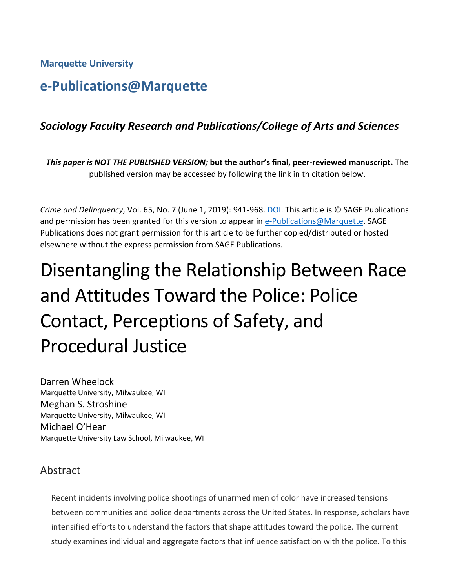**Marquette University**

# **e-Publications@Marquette**

# *Sociology Faculty Research and Publications/College of Arts and Sciences*

*This paper is NOT THE PUBLISHED VERSION;* **but the author's final, peer-reviewed manuscript.** The published version may be accessed by following the link in th citation below.

*Crime and Delinquency*, Vol. 65, No. 7 (June 1, 2019): 941-968. [DOI.](https://doi.org/10.1177%2F0011128718811928) This article is © SAGE Publications and permission has been granted for this version to appear in [e-Publications@Marquette.](http://epublications.marquette.edu/) SAGE Publications does not grant permission for this article to be further copied/distributed or hosted elsewhere without the express permission from SAGE Publications.

# Disentangling the Relationship Between Race and Attitudes Toward the Police: Police Contact, Perceptions of Safety, and Procedural Justice

Darren Wheelock Marquette University, Milwaukee, WI Meghan S. Stroshine Marquette University, Milwaukee, WI Michael O'Hear Marquette University Law School, Milwaukee, WI

#### Abstract

Recent incidents involving police shootings of unarmed men of color have increased tensions between communities and police departments across the United States. In response, scholars have intensified efforts to understand the factors that shape attitudes toward the police. The current study examines individual and aggregate factors that influence satisfaction with the police. To this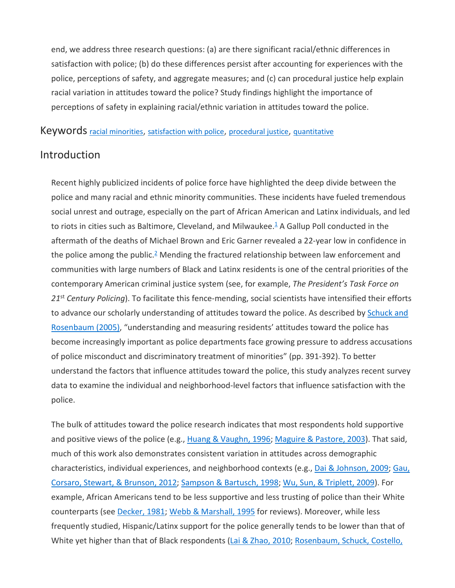end, we address three research questions: (a) are there significant racial/ethnic differences in satisfaction with police; (b) do these differences persist after accounting for experiences with the police, perceptions of safety, and aggregate measures; and (c) can procedural justice help explain racial variation in attitudes toward the police? Study findings highlight the importance of perceptions of safety in explaining racial/ethnic variation in attitudes toward the police.

Keywords [racial minorities,](https://journals.sagepub.com/keyword/Racial+Minorities) [satisfaction with police,](https://journals.sagepub.com/keyword/Satisfaction+With+Police) [procedural justice,](https://journals.sagepub.com/keyword/Procedural+Justice) [quantitative](https://journals.sagepub.com/keyword/Quantitative)

#### Introduction

Recent highly publicized incidents of police force have highlighted the deep divide between the police and many racial and ethnic minority communities. These incidents have fueled tremendous social unrest and outrage, especially on the part of African American and Latinx individuals, and led to riots in cities such as Baltimore, Cleveland, and Milwaukee. $\frac{1}{2}$  A Gallup Poll conducted in the aftermath of the deaths of Michael Brown and Eric Garner revealed a 22-year low in confidence in the police among the public.<sup>2</sup> Mending the fractured relationship between law enforcement and communities with large numbers of Black and Latinx residents is one of the central priorities of the contemporary American criminal justice system (see, for example, *The President's Task Force on 21*st *Century Policing*). To facilitate this fence-mending, social scientists have intensified their efforts to advance our scholarly understanding of attitudes toward the police. As described by [Schuck and](https://journals.sagepub.com/doi/10.1177/0011128718811928)  [Rosenbaum \(2005\),](https://journals.sagepub.com/doi/10.1177/0011128718811928) "understanding and measuring residents' attitudes toward the police has become increasingly important as police departments face growing pressure to address accusations of police misconduct and discriminatory treatment of minorities" (pp. 391-392). To better understand the factors that influence attitudes toward the police, this study analyzes recent survey data to examine the individual and neighborhood-level factors that influence satisfaction with the police.

The bulk of attitudes toward the police research indicates that most respondents hold supportive and positive views of the police (e.g., [Huang & Vaughn, 1996;](https://journals.sagepub.com/doi/10.1177/0011128718811928) [Maguire & Pastore, 2003\)](https://journals.sagepub.com/doi/10.1177/0011128718811928). That said, much of this work also demonstrates consistent variation in attitudes across demographic characteristics, individual experiences, and neighborhood contexts (e.g., [Dai & Johnson, 2009;](https://journals.sagepub.com/doi/10.1177/0011128718811928) Gau, [Corsaro, Stewart, & Brunson, 2012;](https://journals.sagepub.com/doi/10.1177/0011128718811928) [Sampson & Bartusch, 1998;](https://journals.sagepub.com/doi/10.1177/0011128718811928) [Wu, Sun, & Triplett, 2009\)](https://journals.sagepub.com/doi/10.1177/0011128718811928). For example, African Americans tend to be less supportive and less trusting of police than their White counterparts (see [Decker, 1981;](https://journals.sagepub.com/doi/10.1177/0011128718811928) [Webb & Marshall, 1995](https://journals.sagepub.com/doi/10.1177/0011128718811928) for reviews). Moreover, while less frequently studied, Hispanic/Latinx support for the police generally tends to be lower than that of White yet higher than that of Black respondents [\(Lai & Zhao, 2010;](https://journals.sagepub.com/doi/10.1177/0011128718811928) Rosenbaum, Schuck, Costello,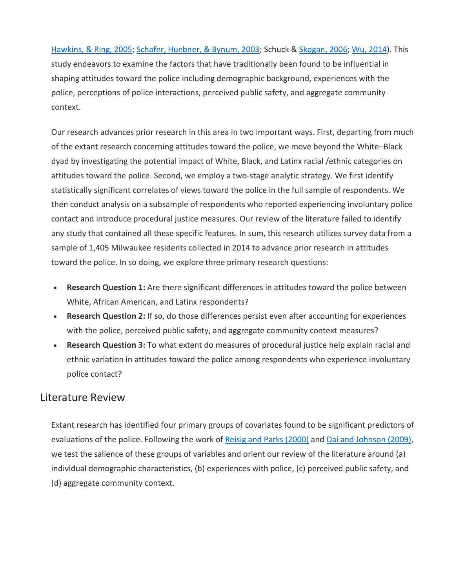[Hawkins, & Ring, 2005;](https://journals.sagepub.com/doi/10.1177/0011128718811928) [Schafer, Huebner, & Bynum, 2003;](https://journals.sagepub.com/doi/10.1177/0011128718811928) Schuck & [Skogan, 2006;](https://journals.sagepub.com/doi/10.1177/0011128718811928) [Wu, 2014\)](https://journals.sagepub.com/doi/10.1177/0011128718811928). This study endeavors to examine the factors that have traditionally been found to be influential in shaping attitudes toward the police including demographic background, experiences with the police, perceptions of police interactions, perceived public safety, and aggregate community context.

Our research advances prior research in this area in two important ways. First, departing from much of the extant research concerning attitudes toward the police, we move beyond the White–Black dyad by investigating the potential impact of White, Black, and Latinx racial /ethnic categories on attitudes toward the police. Second, we employ a two-stage analytic strategy. We first identify statistically significant correlates of views toward the police in the full sample of respondents. We then conduct analysis on a subsample of respondents who reported experiencing involuntary police contact and introduce procedural justice measures. Our review of the literature failed to identify any study that contained all these specific features. In sum, this research utilizes survey data from a sample of 1,405 Milwaukee residents collected in 2014 to advance prior research in attitudes toward the police. In so doing, we explore three primary research questions:

- **Research Question 1:** Are there significant differences in attitudes toward the police between White, African American, and Latinx respondents?
- **Research Question 2:** If so, do those differences persist even after accounting for experiences with the police, perceived public safety, and aggregate community context measures?
- **Research Question 3:** To what extent do measures of procedural justice help explain racial and ethnic variation in attitudes toward the police among respondents who experience involuntary police contact?

#### Literature Review

Extant research has identified four primary groups of covariates found to be significant predictors of evaluations of the police. Following the work of [Reisig and Parks \(2000\)](https://journals.sagepub.com/doi/10.1177/0011128718811928) and [Dai and Johnson \(2009\),](https://journals.sagepub.com/doi/10.1177/0011128718811928) we test the salience of these groups of variables and orient our review of the literature around (a) individual demographic characteristics, (b) experiences with police, (c) perceived public safety, and (d) aggregate community context.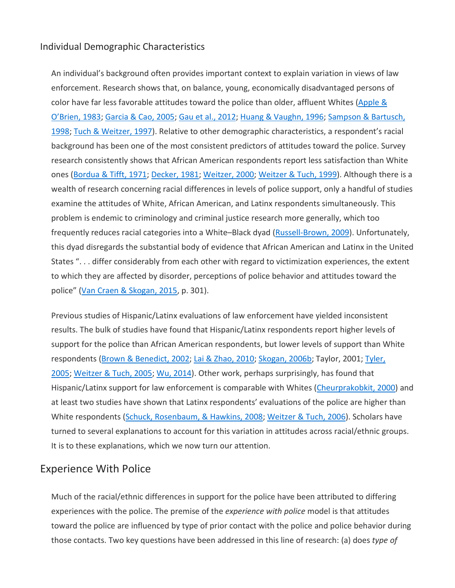#### Individual Demographic Characteristics

An individual's background often provides important context to explain variation in views of law enforcement. Research shows that, on balance, young, economically disadvantaged persons of color have far less favorable attitudes toward the police than older, affluent Whites [\(Apple &](https://journals.sagepub.com/doi/10.1177/0011128718811928)  [O'Brien, 1983;](https://journals.sagepub.com/doi/10.1177/0011128718811928) [Garcia & Cao, 2005;](https://journals.sagepub.com/doi/10.1177/0011128718811928) [Gau et al., 2012;](https://journals.sagepub.com/doi/10.1177/0011128718811928) [Huang & Vaughn, 1996;](https://journals.sagepub.com/doi/10.1177/0011128718811928) [Sampson & Bartusch,](https://journals.sagepub.com/doi/10.1177/0011128718811928)  [1998;](https://journals.sagepub.com/doi/10.1177/0011128718811928) [Tuch & Weitzer, 1997\)](https://journals.sagepub.com/doi/10.1177/0011128718811928). Relative to other demographic characteristics, a respondent's racial background has been one of the most consistent predictors of attitudes toward the police. Survey research consistently shows that African American respondents report less satisfaction than White ones [\(Bordua & Tifft, 1971;](https://journals.sagepub.com/doi/10.1177/0011128718811928) [Decker, 1981;](https://journals.sagepub.com/doi/10.1177/0011128718811928) [Weitzer, 2000;](https://journals.sagepub.com/doi/10.1177/0011128718811928) [Weitzer & Tuch, 1999\)](https://journals.sagepub.com/doi/10.1177/0011128718811928). Although there is a wealth of research concerning racial differences in levels of police support, only a handful of studies examine the attitudes of White, African American, and Latinx respondents simultaneously. This problem is endemic to criminology and criminal justice research more generally, which too frequently reduces racial categories into a White-Black dyad [\(Russell-Brown, 2009\)](https://journals.sagepub.com/doi/10.1177/0011128718811928). Unfortunately, this dyad disregards the substantial body of evidence that African American and Latinx in the United States ". . . differ considerably from each other with regard to victimization experiences, the extent to which they are affected by disorder, perceptions of police behavior and attitudes toward the police" [\(Van Craen & Skogan, 2015,](https://journals.sagepub.com/doi/10.1177/0011128718811928) p. 301).

Previous studies of Hispanic/Latinx evaluations of law enforcement have yielded inconsistent results. The bulk of studies have found that Hispanic/Latinx respondents report higher levels of support for the police than African American respondents, but lower levels of support than White respondents [\(Brown & Benedict, 2002;](https://journals.sagepub.com/doi/10.1177/0011128718811928) [Lai & Zhao, 2010;](https://journals.sagepub.com/doi/10.1177/0011128718811928) [Skogan, 2006b;](https://journals.sagepub.com/doi/10.1177/0011128718811928) Taylor, 2001; Tyler, [2005;](https://journals.sagepub.com/doi/10.1177/0011128718811928) [Weitzer & Tuch, 2005;](https://journals.sagepub.com/doi/10.1177/0011128718811928) [Wu, 2014\)](https://journals.sagepub.com/doi/10.1177/0011128718811928). Other work, perhaps surprisingly, has found that Hispanic/Latinx support for law enforcement is comparable with Whites [\(Cheurprakobkit, 2000\)](https://journals.sagepub.com/doi/10.1177/0011128718811928) and at least two studies have shown that Latinx respondents' evaluations of the police are higher than White respondents [\(Schuck, Rosenbaum, & Hawkins, 2008;](https://journals.sagepub.com/doi/10.1177/0011128718811928) [Weitzer & Tuch, 2006\)](https://journals.sagepub.com/doi/10.1177/0011128718811928). Scholars have turned to several explanations to account for this variation in attitudes across racial/ethnic groups. It is to these explanations, which we now turn our attention.

#### Experience With Police

Much of the racial/ethnic differences in support for the police have been attributed to differing experiences with the police. The premise of the *experience with police* model is that attitudes toward the police are influenced by type of prior contact with the police and police behavior during those contacts. Two key questions have been addressed in this line of research: (a) does *type of*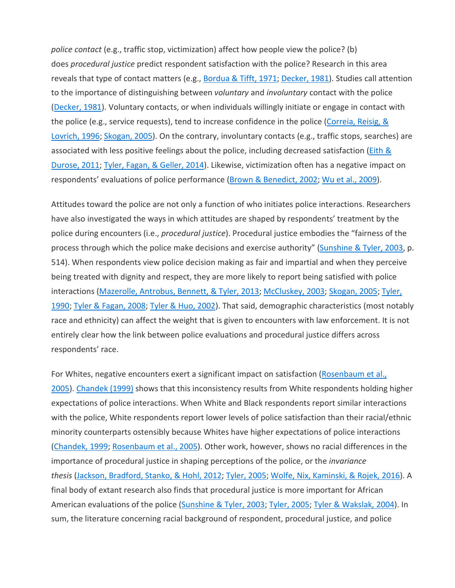*police contact* (e.g., traffic stop, victimization) affect how people view the police? (b) does *procedural justice* predict respondent satisfaction with the police? Research in this area reveals that type of contact matters (e.g., [Bordua & Tifft, 1971;](https://journals.sagepub.com/doi/10.1177/0011128718811928) [Decker, 1981\)](https://journals.sagepub.com/doi/10.1177/0011128718811928). Studies call attention to the importance of distinguishing between *voluntary* and *involuntary* contact with the police [\(Decker, 1981\)](https://journals.sagepub.com/doi/10.1177/0011128718811928). Voluntary contacts, or when individuals willingly initiate or engage in contact with the police (e.g., service requests), tend to increase confidence in the police (Correia, Reisig, & [Lovrich, 1996;](https://journals.sagepub.com/doi/10.1177/0011128718811928) [Skogan, 2005\)](https://journals.sagepub.com/doi/10.1177/0011128718811928). On the contrary, involuntary contacts (e.g., traffic stops, searches) are associated with less positive feelings about the police, including decreased satisfaction (*Eith &* [Durose, 2011;](https://journals.sagepub.com/doi/10.1177/0011128718811928) [Tyler, Fagan, & Geller, 2014\)](https://journals.sagepub.com/doi/10.1177/0011128718811928). Likewise, victimization often has a negative impact on respondents' evaluations of police performance [\(Brown & Benedict, 2002;](https://journals.sagepub.com/doi/10.1177/0011128718811928) [Wu et al., 2009\)](https://journals.sagepub.com/doi/10.1177/0011128718811928).

Attitudes toward the police are not only a function of who initiates police interactions. Researchers have also investigated the ways in which attitudes are shaped by respondents' treatment by the police during encounters (i.e., *procedural justice*). Procedural justice embodies the "fairness of the process through which the police make decisions and exercise authority" [\(Sunshine & Tyler, 2003,](https://journals.sagepub.com/doi/10.1177/0011128718811928) p. 514). When respondents view police decision making as fair and impartial and when they perceive being treated with dignity and respect, they are more likely to report being satisfied with police interactions [\(Mazerolle, Antrobus, Bennett, & Tyler, 2013;](https://journals.sagepub.com/doi/10.1177/0011128718811928) [McCluskey, 2003;](https://journals.sagepub.com/doi/10.1177/0011128718811928) [Skogan, 2005;](https://journals.sagepub.com/doi/10.1177/0011128718811928) [Tyler,](https://journals.sagepub.com/doi/10.1177/0011128718811928)  [1990;](https://journals.sagepub.com/doi/10.1177/0011128718811928) [Tyler & Fagan, 2008;](https://journals.sagepub.com/doi/10.1177/0011128718811928) [Tyler & Huo, 2002\)](https://journals.sagepub.com/doi/10.1177/0011128718811928). That said, demographic characteristics (most notably race and ethnicity) can affect the weight that is given to encounters with law enforcement. It is not entirely clear how the link between police evaluations and procedural justice differs across respondents' race.

For Whites, negative encounters exert a significant impact on satisfaction (Rosenbaum et al., [2005\)](https://journals.sagepub.com/doi/10.1177/0011128718811928). [Chandek \(1999\)](https://journals.sagepub.com/doi/10.1177/0011128718811928) shows that this inconsistency results from White respondents holding higher expectations of police interactions. When White and Black respondents report similar interactions with the police, White respondents report lower levels of police satisfaction than their racial/ethnic minority counterparts ostensibly because Whites have higher expectations of police interactions [\(Chandek, 1999;](https://journals.sagepub.com/doi/10.1177/0011128718811928) [Rosenbaum et al., 2005\)](https://journals.sagepub.com/doi/10.1177/0011128718811928). Other work, however, shows no racial differences in the importance of procedural justice in shaping perceptions of the police, or the *invariance thesis* [\(Jackson, Bradford, Stanko, & Hohl, 2012;](https://journals.sagepub.com/doi/10.1177/0011128718811928) [Tyler, 2005;](https://journals.sagepub.com/doi/10.1177/0011128718811928) [Wolfe, Nix, Kaminski, & Rojek, 2016\)](https://journals.sagepub.com/doi/10.1177/0011128718811928). A final body of extant research also finds that procedural justice is more important for African American evaluations of the police [\(Sunshine & Tyler, 2003;](https://journals.sagepub.com/doi/10.1177/0011128718811928) [Tyler, 2005;](https://journals.sagepub.com/doi/10.1177/0011128718811928) [Tyler & Wakslak, 2004\)](https://journals.sagepub.com/doi/10.1177/0011128718811928). In sum, the literature concerning racial background of respondent, procedural justice, and police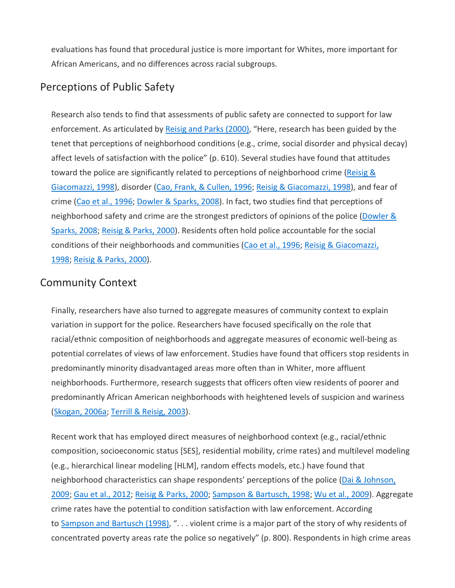evaluations has found that procedural justice is more important for Whites, more important for African Americans, and no differences across racial subgroups.

### Perceptions of Public Safety

Research also tends to find that assessments of public safety are connected to support for law enforcement. As articulated by [Reisig and Parks \(2000\),](https://journals.sagepub.com/doi/10.1177/0011128718811928) "Here, research has been guided by the tenet that perceptions of neighborhood conditions (e.g., crime, social disorder and physical decay) affect levels of satisfaction with the police" (p. 610). Several studies have found that attitudes toward the police are significantly related to perceptions of neighborhood crime (Reisig & [Giacomazzi, 1998\)](https://journals.sagepub.com/doi/10.1177/0011128718811928), disorder [\(Cao, Frank, & Cullen, 1996;](https://journals.sagepub.com/doi/10.1177/0011128718811928) [Reisig & Giacomazzi, 1998\)](https://journals.sagepub.com/doi/10.1177/0011128718811928), and fear of crime [\(Cao et al., 1996;](https://journals.sagepub.com/doi/10.1177/0011128718811928) [Dowler & Sparks, 2008\)](https://journals.sagepub.com/doi/10.1177/0011128718811928). In fact, two studies find that perceptions of neighborhood safety and crime are the strongest predictors of opinions of the police (Dowler & [Sparks, 2008;](https://journals.sagepub.com/doi/10.1177/0011128718811928) [Reisig & Parks, 2000\)](https://journals.sagepub.com/doi/10.1177/0011128718811928). Residents often hold police accountable for the social conditions of their neighborhoods and communities [\(Cao et al., 1996;](https://journals.sagepub.com/doi/10.1177/0011128718811928) Reisig & Giacomazzi, [1998;](https://journals.sagepub.com/doi/10.1177/0011128718811928) [Reisig & Parks, 2000\)](https://journals.sagepub.com/doi/10.1177/0011128718811928).

#### Community Context

Finally, researchers have also turned to aggregate measures of community context to explain variation in support for the police. Researchers have focused specifically on the role that racial/ethnic composition of neighborhoods and aggregate measures of economic well-being as potential correlates of views of law enforcement. Studies have found that officers stop residents in predominantly minority disadvantaged areas more often than in Whiter, more affluent neighborhoods. Furthermore, research suggests that officers often view residents of poorer and predominantly African American neighborhoods with heightened levels of suspicion and wariness [\(Skogan, 2006a;](https://journals.sagepub.com/doi/10.1177/0011128718811928) [Terrill & Reisig, 2003\)](https://journals.sagepub.com/doi/10.1177/0011128718811928).

Recent work that has employed direct measures of neighborhood context (e.g., racial/ethnic composition, socioeconomic status [SES], residential mobility, crime rates) and multilevel modeling (e.g., hierarchical linear modeling [HLM], random effects models, etc.) have found that neighborhood characteristics can shape respondents' perceptions of the police [\(Dai & Johnson,](https://journals.sagepub.com/doi/10.1177/0011128718811928)  [2009;](https://journals.sagepub.com/doi/10.1177/0011128718811928) [Gau et al., 2012;](https://journals.sagepub.com/doi/10.1177/0011128718811928) [Reisig & Parks, 2000;](https://journals.sagepub.com/doi/10.1177/0011128718811928) [Sampson & Bartusch, 1998;](https://journals.sagepub.com/doi/10.1177/0011128718811928) [Wu et al., 2009\)](https://journals.sagepub.com/doi/10.1177/0011128718811928). Aggregate crime rates have the potential to condition satisfaction with law enforcement. According to [Sampson and Bartusch \(1998\),](https://journals.sagepub.com/doi/10.1177/0011128718811928) ". . . violent crime is a major part of the story of why residents of concentrated poverty areas rate the police so negatively" (p. 800). Respondents in high crime areas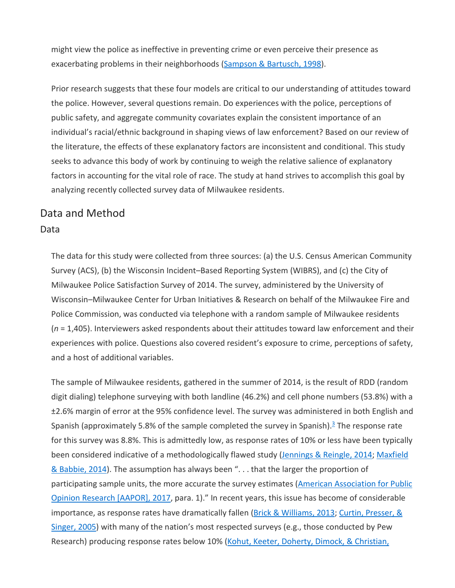might view the police as ineffective in preventing crime or even perceive their presence as exacerbating problems in their neighborhoods [\(Sampson & Bartusch, 1998\)](https://journals.sagepub.com/doi/10.1177/0011128718811928).

Prior research suggests that these four models are critical to our understanding of attitudes toward the police. However, several questions remain. Do experiences with the police, perceptions of public safety, and aggregate community covariates explain the consistent importance of an individual's racial/ethnic background in shaping views of law enforcement? Based on our review of the literature, the effects of these explanatory factors are inconsistent and conditional. This study seeks to advance this body of work by continuing to weigh the relative salience of explanatory factors in accounting for the vital role of race. The study at hand strives to accomplish this goal by analyzing recently collected survey data of Milwaukee residents.

# Data and Method

#### Data

The data for this study were collected from three sources: (a) the U.S. Census American Community Survey (ACS), (b) the Wisconsin Incident–Based Reporting System (WIBRS), and (c) the City of Milwaukee Police Satisfaction Survey of 2014. The survey, administered by the University of Wisconsin–Milwaukee Center for Urban Initiatives & Research on behalf of the Milwaukee Fire and Police Commission, was conducted via telephone with a random sample of Milwaukee residents (*n* = 1,405). Interviewers asked respondents about their attitudes toward law enforcement and their experiences with police. Questions also covered resident's exposure to crime, perceptions of safety, and a host of additional variables.

The sample of Milwaukee residents, gathered in the summer of 2014, is the result of RDD (random digit dialing) telephone surveying with both landline (46.2%) and cell phone numbers (53.8%) with a ±2.6% margin of error at the 95% confidence level. The survey was administered in both English and Spanish (approximately 5.8% of the sample completed the survey in Spanish). $\frac{3}{2}$  The response rate for this survey was 8.8%. This is admittedly low, as response rates of 10% or less have been typically been considered indicative of a methodologically flawed study [\(Jennings & Reingle, 2014;](https://journals.sagepub.com/doi/10.1177/0011128718811928) Maxfield [& Babbie, 2014\)](https://journals.sagepub.com/doi/10.1177/0011128718811928). The assumption has always been "... that the larger the proportion of participating sample units, the more accurate the survey estimates [\(American Association for Public](https://journals.sagepub.com/doi/10.1177/0011128718811928)  [Opinion Research \[AAPOR\], 2017,](https://journals.sagepub.com/doi/10.1177/0011128718811928) para. 1)." In recent years, this issue has become of considerable importance, as response rates have dramatically fallen [\(Brick & Williams, 2013;](https://journals.sagepub.com/doi/10.1177/0011128718811928) Curtin, Presser, & [Singer, 2005\)](https://journals.sagepub.com/doi/10.1177/0011128718811928) with many of the nation's most respected surveys (e.g., those conducted by Pew Research) producing response rates below 10% (Kohut, Keeter, Doherty, Dimock, & Christian,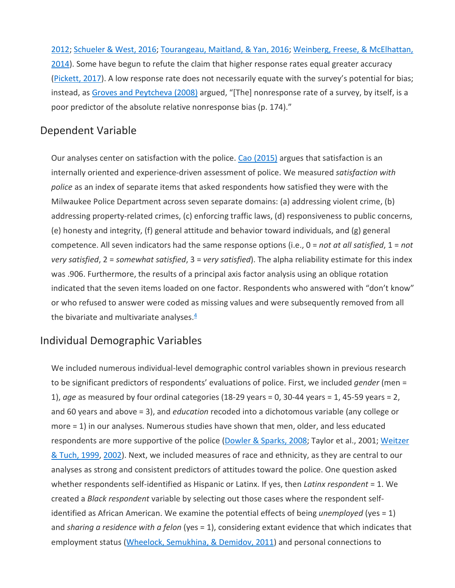[2012;](https://journals.sagepub.com/doi/10.1177/0011128718811928) [Schueler & West, 2016;](https://journals.sagepub.com/doi/10.1177/0011128718811928) [Tourangeau, Maitland, & Yan, 2016;](https://journals.sagepub.com/doi/10.1177/0011128718811928) [Weinberg, Freese, & McElhattan,](https://journals.sagepub.com/doi/10.1177/0011128718811928)  [2014\)](https://journals.sagepub.com/doi/10.1177/0011128718811928). Some have begun to refute the claim that higher response rates equal greater accuracy [\(Pickett, 2017\)](https://journals.sagepub.com/doi/10.1177/0011128718811928). A low response rate does not necessarily equate with the survey's potential for bias; instead, as [Groves and Peytcheva \(2008\)](https://journals.sagepub.com/doi/10.1177/0011128718811928) argued, "[The] nonresponse rate of a survey, by itself, is a poor predictor of the absolute relative nonresponse bias (p. 174)."

#### Dependent Variable

Our analyses center on satisfaction with the police. [Cao \(2015\)](https://journals.sagepub.com/doi/10.1177/0011128718811928) argues that satisfaction is an internally oriented and experience-driven assessment of police. We measured *satisfaction with police* as an index of separate items that asked respondents how satisfied they were with the Milwaukee Police Department across seven separate domains: (a) addressing violent crime, (b) addressing property-related crimes, (c) enforcing traffic laws, (d) responsiveness to public concerns, (e) honesty and integrity, (f) general attitude and behavior toward individuals, and (g) general competence. All seven indicators had the same response options (i.e., 0 = *not at all satisfied*, 1 = *not very satisfied*, 2 = *somewhat satisfied*, 3 = *very satisfied*). The alpha reliability estimate for this index was .906. Furthermore, the results of a principal axis factor analysis using an oblique rotation indicated that the seven items loaded on one factor. Respondents who answered with "don't know" or who refused to answer were coded as missing values and were subsequently removed from all the bivariate and multivariate analyses. $\frac{4}{3}$ 

#### Individual Demographic Variables

We included numerous individual-level demographic control variables shown in previous research to be significant predictors of respondents' evaluations of police. First, we included *gender* (men = 1), *age* as measured by four ordinal categories (18-29 years = 0, 30-44 years = 1, 45-59 years = 2, and 60 years and above = 3), and *education* recoded into a dichotomous variable (any college or more = 1) in our analyses. Numerous studies have shown that men, older, and less educated respondents are more supportive of the police [\(Dowler & Sparks, 2008;](https://journals.sagepub.com/doi/10.1177/0011128718811928) Taylor et al., 2001; Weitzer [& Tuch, 1999,](https://journals.sagepub.com/doi/10.1177/0011128718811928) [2002\)](https://journals.sagepub.com/doi/10.1177/0011128718811928). Next, we included measures of race and ethnicity, as they are central to our analyses as strong and consistent predictors of attitudes toward the police. One question asked whether respondents self-identified as Hispanic or Latinx. If yes, then *Latinx respondent* = 1. We created a *Black respondent* variable by selecting out those cases where the respondent selfidentified as African American. We examine the potential effects of being *unemployed* (yes = 1) and *sharing a residence with a felon* (yes = 1), considering extant evidence that which indicates that employment status [\(Wheelock, Semukhina, & Demidov, 2011\)](https://journals.sagepub.com/doi/10.1177/0011128718811928) and personal connections to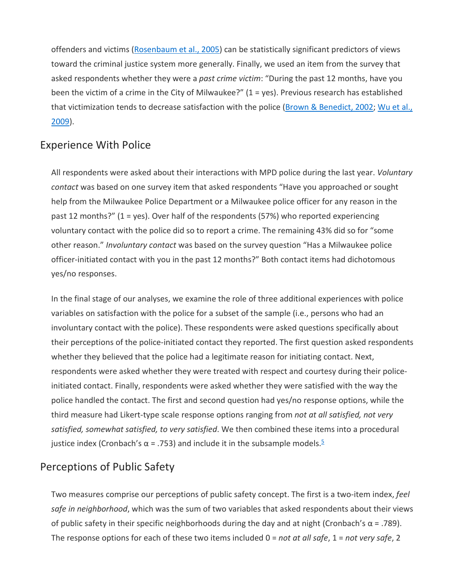offenders and victims [\(Rosenbaum et al., 2005\)](https://journals.sagepub.com/doi/10.1177/0011128718811928) can be statistically significant predictors of views toward the criminal justice system more generally. Finally, we used an item from the survey that asked respondents whether they were a *past crime victim*: "During the past 12 months, have you been the victim of a crime in the City of Milwaukee?" (1 = yes). Previous research has established that victimization tends to decrease satisfaction with the police [\(Brown & Benedict, 2002;](https://journals.sagepub.com/doi/10.1177/0011128718811928) Wu et al., [2009\)](https://journals.sagepub.com/doi/10.1177/0011128718811928).

#### Experience With Police

All respondents were asked about their interactions with MPD police during the last year. *Voluntary contact* was based on one survey item that asked respondents "Have you approached or sought help from the Milwaukee Police Department or a Milwaukee police officer for any reason in the past 12 months?" (1 = yes). Over half of the respondents (57%) who reported experiencing voluntary contact with the police did so to report a crime. The remaining 43% did so for "some other reason." *Involuntary contact* was based on the survey question "Has a Milwaukee police officer-initiated contact with you in the past 12 months?" Both contact items had dichotomous yes/no responses.

In the final stage of our analyses, we examine the role of three additional experiences with police variables on satisfaction with the police for a subset of the sample (i.e., persons who had an involuntary contact with the police). These respondents were asked questions specifically about their perceptions of the police-initiated contact they reported. The first question asked respondents whether they believed that the police had a legitimate reason for initiating contact. Next, respondents were asked whether they were treated with respect and courtesy during their policeinitiated contact. Finally, respondents were asked whether they were satisfied with the way the police handled the contact. The first and second question had yes/no response options, while the third measure had Likert-type scale response options ranging from *not at all satisfied, not very satisfied, somewhat satisfied, to very satisfied*. We then combined these items into a procedural justice index (Cronbach's  $\alpha$  = .7[5](javascript:popRef()3) and include it in the subsample models.<sup>5</sup>

#### Perceptions of Public Safety

Two measures comprise our perceptions of public safety concept. The first is a two-item index, *feel safe in neighborhood*, which was the sum of two variables that asked respondents about their views of public safety in their specific neighborhoods during the day and at night (Cronbach's  $\alpha$  = .789). The response options for each of these two items included 0 = *not at all safe*, 1 = *not very safe*, 2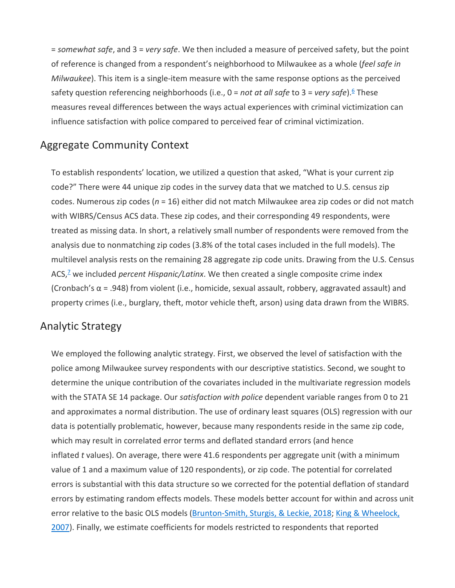= *somewhat safe*, and 3 = *very safe*. We then included a measure of perceived safety, but the point of reference is changed from a respondent's neighborhood to Milwaukee as a whole (*feel safe in Milwaukee*). This item is a single-item measure with the same response options as the perceived safety question referencing neighborhoods (i.e., 0 = *not at all safe* to 3 = *very safe*).<sup>6</sup> These measures reveal differences between the ways actual experiences with criminal victimization can influence satisfaction with police compared to perceived fear of criminal victimization.

#### Aggregate Community Context

To establish respondents' location, we utilized a question that asked, "What is your current zip code?" There were 44 unique zip codes in the survey data that we matched to U.S. census zip codes. Numerous zip codes (*n* = 16) either did not match Milwaukee area zip codes or did not match with WIBRS/Census ACS data. These zip codes, and their corresponding 49 respondents, were treated as missing data. In short, a relatively small number of respondents were removed from the analysis due to nonmatching zip codes (3.8% of the total cases included in the full models). The multilevel analysis rests on the remaining 28 aggregate zip code units. Drawing from the U.S. Census ACS,<sup>7</sup> we included *percent Hispanic/Latinx*. We then created a single composite crime index (Cronbach's  $\alpha$  = .948) from violent (i.e., homicide, sexual assault, robbery, aggravated assault) and property crimes (i.e., burglary, theft, motor vehicle theft, arson) using data drawn from the WIBRS.

#### Analytic Strategy

We employed the following analytic strategy. First, we observed the level of satisfaction with the police among Milwaukee survey respondents with our descriptive statistics. Second, we sought to determine the unique contribution of the covariates included in the multivariate regression models with the STATA SE 14 package. Our *satisfaction with police* dependent variable ranges from 0 to 21 and approximates a normal distribution. The use of ordinary least squares (OLS) regression with our data is potentially problematic, however, because many respondents reside in the same zip code, which may result in correlated error terms and deflated standard errors (and hence inflated *t* values). On average, there were 41.6 respondents per aggregate unit (with a minimum value of 1 and a maximum value of 120 respondents), or zip code. The potential for correlated errors is substantial with this data structure so we corrected for the potential deflation of standard errors by estimating random effects models. These models better account for within and across unit error relative to the basic OLS models [\(Brunton-Smith, Sturgis, & Leckie, 2018;](https://journals.sagepub.com/doi/10.1177/0011128718811928) [King & Wheelock,](https://journals.sagepub.com/doi/10.1177/0011128718811928)  [2007\)](https://journals.sagepub.com/doi/10.1177/0011128718811928). Finally, we estimate coefficients for models restricted to respondents that reported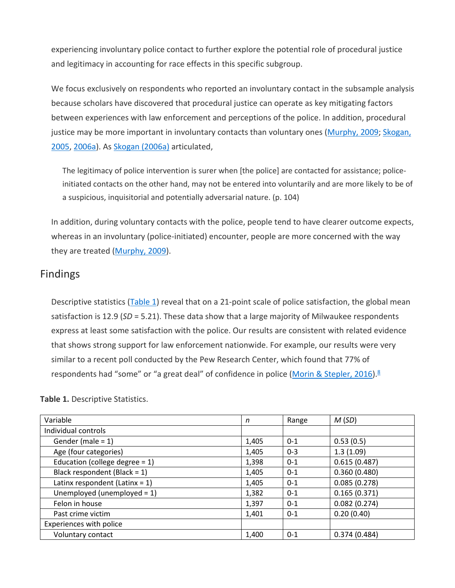experiencing involuntary police contact to further explore the potential role of procedural justice and legitimacy in accounting for race effects in this specific subgroup.

We focus exclusively on respondents who reported an involuntary contact in the subsample analysis because scholars have discovered that procedural justice can operate as key mitigating factors between experiences with law enforcement and perceptions of the police. In addition, procedural justice may be more important in involuntary contacts than voluntary ones [\(Murphy, 2009;](https://journals.sagepub.com/doi/10.1177/0011128718811928) [Skogan,](https://journals.sagepub.com/doi/10.1177/0011128718811928)  [2005,](https://journals.sagepub.com/doi/10.1177/0011128718811928) [2006a\)](https://journals.sagepub.com/doi/10.1177/0011128718811928). As [Skogan \(2006a\)](https://journals.sagepub.com/doi/10.1177/0011128718811928) articulated,

The legitimacy of police intervention is surer when [the police] are contacted for assistance; policeinitiated contacts on the other hand, may not be entered into voluntarily and are more likely to be of a suspicious, inquisitorial and potentially adversarial nature. (p. 104)

In addition, during voluntary contacts with the police, people tend to have clearer outcome expects, whereas in an involuntary (police-initiated) encounter, people are more concerned with the way they are treated [\(Murphy, 2009\)](https://journals.sagepub.com/doi/10.1177/0011128718811928).

#### Findings

Descriptive statistics [\(Table 1\)](https://journals.sagepub.com/doi/10.1177/0011128718811928) reveal that on a 21-point scale of police satisfaction, the global mean satisfaction is 12.9 (*SD* = 5.21). These data show that a large majority of Milwaukee respondents express at least some satisfaction with the police. Our results are consistent with related evidence that shows strong support for law enforcement nationwide. For example, our results were very similar to a recent poll conducted by the Pew Research Center, which found that 77% of respondents had "some" or "a great deal" of confidence in police [\(Morin & Stepler, 2016\)](https://journals.sagepub.com/doi/10.1177/0011128718811928).<sup>8</sup>

| n     | Range   | M(SD)        |
|-------|---------|--------------|
|       |         |              |
| 1,405 | $0 - 1$ | 0.53(0.5)    |
| 1,405 | $0 - 3$ | 1.3(1.09)    |
| 1,398 | $0 - 1$ | 0.615(0.487) |
| 1,405 | $0 - 1$ | 0.360(0.480) |
| 1,405 | $0 - 1$ | 0.085(0.278) |
| 1,382 | $0 - 1$ | 0.165(0.371) |
| 1,397 | $0 - 1$ | 0.082(0.274) |
| 1,401 | $0 - 1$ | 0.20(0.40)   |
|       |         |              |
| 1,400 | $0 - 1$ | 0.374(0.484) |
|       |         |              |

**Table 1.** Descriptive Statistics.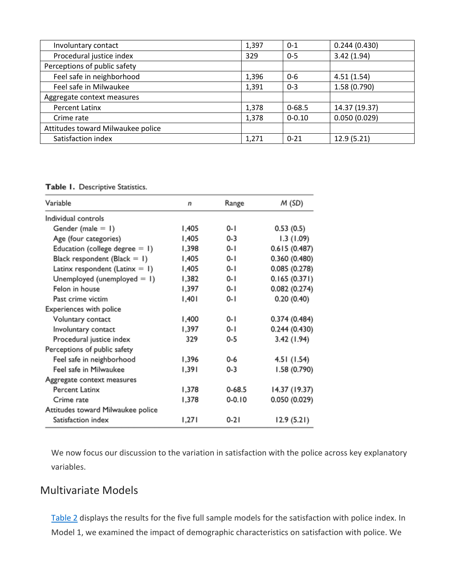| Involuntary contact               | 1,397 | $0 - 1$    | 0.244(0.430)  |
|-----------------------------------|-------|------------|---------------|
| Procedural justice index          | 329   | $0 - 5$    | 3.42(1.94)    |
| Perceptions of public safety      |       |            |               |
| Feel safe in neighborhood         | 1,396 | $0 - 6$    | 4.51(1.54)    |
| Feel safe in Milwaukee            | 1,391 | $0 - 3$    | 1.58(0.790)   |
| Aggregate context measures        |       |            |               |
| <b>Percent Latinx</b>             | 1,378 | $0 - 68.5$ | 14.37 (19.37) |
| Crime rate                        | 1,378 | $0 - 0.10$ | 0.050(0.029)  |
| Attitudes toward Milwaukee police |       |            |               |
| Satisfaction index                | 1,271 | $0 - 21$   | 12.9(5.21)    |

Table I. Descriptive Statistics.

| Variable                           | n     | Range      | M (SD)        |
|------------------------------------|-------|------------|---------------|
| Individual controls                |       |            |               |
| Gender (male $= 1$ )               | 1,405 | $0 - 1$    | 0.53(0.5)     |
| Age (four categories)              | 1,405 | $0 - 3$    | 1.3 (1.09)    |
| Education (college degree $= 1$ )  | 1,398 | $0 - 1$    | 0.615(0.487)  |
| Black respondent (Black $= 1$ )    | 1,405 | $0 - 1$    | 0.360(0.480)  |
| Latinx respondent (Latin $x = 1$ ) | 1,405 | $0 - 1$    | 0.085(0.278)  |
| Unemployed (unemployed $= 1$ )     | 1,382 | $0 - 1$    | 0.165(0.371)  |
| Felon in house                     | 1,397 | $0 - 1$    | 0.082(0.274)  |
| Past crime victim                  | 1,401 | $0 - 1$    | 0.20(0.40)    |
| Experiences with police            |       |            |               |
| Voluntary contact                  | 1,400 | $0 - 1$    | 0.374 (0.484) |
| Involuntary contact                | 1,397 | 0- I       | 0.244(0.430)  |
| Procedural justice index           | 329   | $0 - 5$    | 3.42 (1.94)   |
| Perceptions of public safety       |       |            |               |
| Feel safe in neighborhood          | 1,396 | $0 - 6$    | 4.51 (1.54)   |
| Feel safe in Milwaukee             | 1,391 | $0 - 3$    | 1.58 (0.790)  |
| Aggregate context measures         |       |            |               |
| Percent Latinx                     | 1,378 | $0 - 68.5$ | 14.37 (19.37) |
| Crime rate                         | 1,378 | $0 - 0.10$ | 0.050(0.029)  |
| Attitudes toward Milwaukee police  |       |            |               |
| Satisfaction index                 | 1,271 | $0 - 21$   | 12.9(5.21)    |

We now focus our discussion to the variation in satisfaction with the police across key explanatory variables.

#### Multivariate Models

[Table 2](https://journals.sagepub.com/doi/10.1177/0011128718811928) displays the results for the five full sample models for the satisfaction with police index. In Model 1, we examined the impact of demographic characteristics on satisfaction with police. We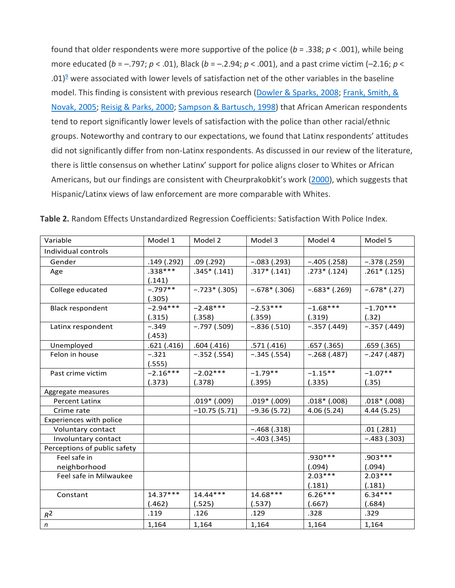found that older respondents were more supportive of the police (*b* = .338; *p* < .001), while being more educated (*b* = –.797; *p* < .01), Black (*b* = –.2.94; *p* < .001), and a past crime victim (–2.16; *p* < .01) $9$  were associated with lower levels of satisfaction net of the other variables in the baseline model. This finding is consistent with previous research [\(Dowler & Sparks, 2008;](https://journals.sagepub.com/doi/10.1177/0011128718811928) Frank, Smith, & [Novak, 2005;](https://journals.sagepub.com/doi/10.1177/0011128718811928) [Reisig & Parks, 2000;](https://journals.sagepub.com/doi/10.1177/0011128718811928) [Sampson & Bartusch, 1998\)](https://journals.sagepub.com/doi/10.1177/0011128718811928) that African American respondents tend to report significantly lower levels of satisfaction with the police than other racial/ethnic groups. Noteworthy and contrary to our expectations, we found that Latinx respondents' attitudes did not significantly differ from non-Latinx respondents. As discussed in our review of the literature, there is little consensus on whether Latinx' support for police aligns closer to Whites or African Americans, but our findings are consistent with Cheurprakobkit's work [\(2000\)](https://journals.sagepub.com/doi/10.1177/0011128718811928), which suggests that Hispanic/Latinx views of law enforcement are more comparable with Whites.

| Variable                     | Model 1    | Model 2          | Model 3          | Model 4        | Model 5       |
|------------------------------|------------|------------------|------------------|----------------|---------------|
| Individual controls          |            |                  |                  |                |               |
| Gender                       | .149(.292) | .09(.292)        | $-.083(.293)$    | $-.405(.258)$  | $-.378(.259)$ |
| Age                          | $.338***$  | $.345*(.141)$    | $.317*(.141)$    | $.273*(.124)$  | $.261*(.125)$ |
|                              | (.141)     |                  |                  |                |               |
| College educated             | $-.797**$  | $-.723*(.305)$   | $-.678*(.306)$   | $-.683*(.269)$ | $-.678*(.27)$ |
|                              | (.305)     |                  |                  |                |               |
| <b>Black respondent</b>      | $-2.94***$ | $-2.48***$       | $-2.53***$       | $-1.68***$     | $-1.70***$    |
|                              | (.315)     | (.358)           | (.359)           | (.319)         | (.32)         |
| Latinx respondent            | $-.349$    | $-.797(.509)$    | $-.836(.510)$    | $-.357(.449)$  | $-.357(.449)$ |
|                              | (.453)     |                  |                  |                |               |
| Unemployed                   | .621(.416) | .604(.416)       | .571(.416)       | .657(.365)     | .659(.365)    |
| Felon in house               | $-.321$    | $-.352(.554)$    | $-.345(.554)$    | $-.268(.487)$  | $-.247(.487)$ |
|                              | (.555)     |                  |                  |                |               |
| Past crime victim            | $-2.16***$ | $-2.02***$       | $-1.79**$        | $-1.15**$      | $-1.07**$     |
|                              | (.373)     | (.378)           | (.395)           | (.335)         | (.35)         |
| Aggregate measures           |            |                  |                  |                |               |
| <b>Percent Latinx</b>        |            | $.019*$ $(.009)$ | $.019*$ $(.009)$ | $.018*(.008)$  | $.018*(.008)$ |
| Crime rate                   |            | $-10.75(5.71)$   | $-9.36(5.72)$    | 4.06(5.24)     | 4.44 (5.25)   |
| Experiences with police      |            |                  |                  |                |               |
| Voluntary contact            |            |                  | $-.468(.318)$    |                | .01(.281)     |
| Involuntary contact          |            |                  | $-.403(.345)$    |                | $-.483(.303)$ |
| Perceptions of public safety |            |                  |                  |                |               |
| Feel safe in                 |            |                  |                  | $.930***$      | $.903***$     |
| neighborhood                 |            |                  |                  | (.094)         | (.094)        |
| Feel safe in Milwaukee       |            |                  |                  | $2.03***$      | $2.03***$     |
|                              |            |                  |                  | (.181)         | (.181)        |
| Constant                     | $14.37***$ | $14.44***$       | 14.68***         | $6.26***$      | $6.34***$     |
|                              | (.462)     | (.525)           | (.537)           | (.667)         | (.684)        |
| $R^2$                        | .119       | .126             | .129             | .328           | .329          |
| $\boldsymbol{n}$             | 1,164      | 1,164            | 1,164            | 1,164          | 1,164         |

**Table 2.** Random Effects Unstandardized Regression Coefficients: Satisfaction With Police Index.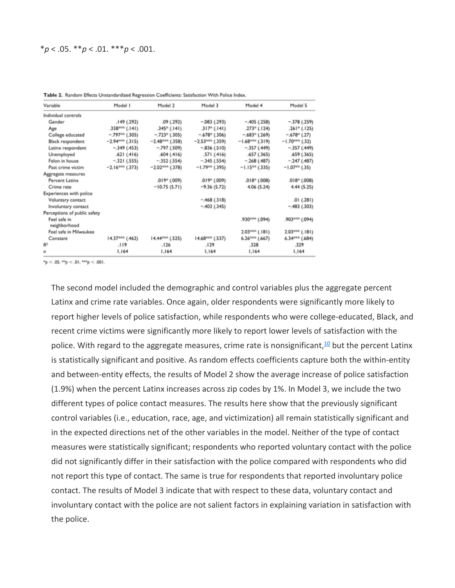| Variable                     | Model I           | Model 2                     | Model 3                  | Model 4                     | Model 5                    |
|------------------------------|-------------------|-----------------------------|--------------------------|-----------------------------|----------------------------|
| Individual controls          |                   |                             |                          |                             |                            |
| Gender                       | .149(.292)        | .09(0.292)                  | $-.083(.293)$            | $-.405(.258)$               | $-.378(.259)$              |
| Age                          | $.338***$ (.141)  | $.345^{\circ}$ (.141)       | .317 <sup>°</sup> (.141) | $.273$ <sup>*</sup> (.124)  | $.261$ <sup>*</sup> (.125) |
| College educated             | $-.797**(.305)$   | $-.723$ <sup>*</sup> (.305) | $-.678$ (.306)           | $-.683$ <sup>*</sup> (.269) | $-.678$ (.27)              |
| Black respondent             | $-2.94***$ (.315) | $-2.48***$ (.358)           | $-2.53***$ (.359)        | $-1.68***$ (.319)           | $-1.70***$ (.32)           |
| Latinx respondent            | $-.349(.453)$     | $-.797(.509)$               | $-.836(.510)$            | $-.357(.449)$               | $-.357(.449)$              |
| Unemployed                   | .621(.416)        | .604(.416)                  | .571(.416)               | .657(.365)                  | .659(.365)                 |
| Felon in house               | $-.321(.555)$     | $-.352(.554)$               | $-.345(.554)$            | $-.268(.487)$               | $-.247(.487)$              |
| Past crime victim            | $-2.16***$ (.373) | $-2.02***$ (.378)           | $-1.79***$ (.395)        | $-1.15***$ (.335)           | $-1.07**$ (.35)            |
| Aggregate measures           |                   |                             |                          |                             |                            |
| Percent Latinx               |                   | $.019*$ $(.009)$            | $.019*$ $(.009)$         | (0.008)                     | $.018*$ $(.008)$           |
| Crime rate                   |                   | $-10.75(5.71)$              | $-9.36(5.72)$            | 4.06 (5.24)                 | 4.44 (5.25)                |
| Experiences with police      |                   |                             |                          |                             |                            |
| Voluntary contact            |                   |                             | $-.468(.318)$            |                             | .01(.281)                  |
| Involuntary contact          |                   |                             | $-.403(.345)$            |                             | $-.483(.303)$              |
| Perceptions of public safety |                   |                             |                          |                             |                            |
| Feel safe in<br>neighborhood |                   |                             |                          | .930*** (.094)              | .903*** (.094)             |
| Feel safe in Milwaukee       |                   |                             |                          | $2.03***$ (.181)            | $2.03***$ (.181)           |
| Constant                     | $14.37***$ (.462) | 14.44*** (.525)             | $14.68***$ (.537)        | $6.26***$ $(.667)$          | $6.34***$ $(.684)$         |
| R <sup>2</sup>               | .119              | .126                        | .129                     | .328                        | .329                       |
| $\mathbf{r}$                 | 1,164             | 1.164                       | 1,164                    | 1,164                       | 1,164                      |

Table 2. Random Effects Unstandardized Regression Coefficients: Satisfaction With Police Index.

 $np < .05.$  \*\*p < .01. \*\*\*p < .001.

The second model included the demographic and control variables plus the aggregate percent Latinx and crime rate variables. Once again, older respondents were significantly more likely to report higher levels of police satisfaction, while respondents who were college-educated, Black, and recent crime victims were significantly more likely to report lower levels of satisfaction with the police. With regard to the aggregate measures, crime rate is nonsignificant,<sup>10</sup> but the percent Latinx is statistically significant and positive. As random effects coefficients capture both the within-entity and between-entity effects, the results of Model 2 show the average increase of police satisfaction (1.9%) when the percent Latinx increases across zip codes by 1%. In Model 3, we include the two different types of police contact measures. The results here show that the previously significant control variables (i.e., education, race, age, and victimization) all remain statistically significant and in the expected directions net of the other variables in the model. Neither of the type of contact measures were statistically significant; respondents who reported voluntary contact with the police did not significantly differ in their satisfaction with the police compared with respondents who did not report this type of contact. The same is true for respondents that reported involuntary police contact. The results of Model 3 indicate that with respect to these data, voluntary contact and involuntary contact with the police are not salient factors in explaining variation in satisfaction with the police.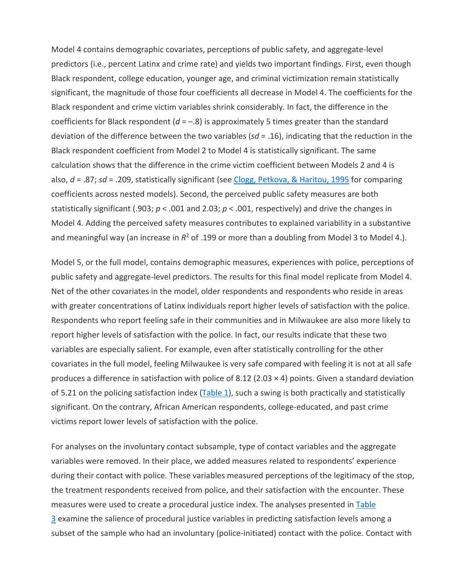Model 4 contains demographic covariates, perceptions of public safety, and aggregate-level predictors (i.e., percent Latinx and crime rate) and yields two important findings. First, even though Black respondent, college education, younger age, and criminal victimization remain statistically significant, the magnitude of those four coefficients all decrease in Model 4. The coefficients for the Black respondent and crime victim variables shrink considerably. In fact, the difference in the coefficients for Black respondent  $(d = -.8)$  is approximately 5 times greater than the standard deviation of the difference between the two variables (*sd* = .16), indicating that the reduction in the Black respondent coefficient from Model 2 to Model 4 is statistically significant. The same calculation shows that the difference in the crime victim coefficient between Models 2 and 4 is also, *d* = .87; *sd* = .209, statistically significant (see [Clogg, Petkova, & Haritou, 1995](https://journals.sagepub.com/doi/10.1177/0011128718811928) for comparing coefficients across nested models). Second, the perceived public safety measures are both statistically significant (.903; *p* < .001 and 2.03; *p* < .001, respectively) and drive the changes in Model 4. Adding the perceived safety measures contributes to explained variability in a substantive and meaningful way (an increase in  $R^2$  of .199 or more than a doubling from Model 3 to Model 4.).

Model 5, or the full model, contains demographic measures, experiences with police, perceptions of public safety and aggregate-level predictors. The results for this final model replicate from Model 4. Net of the other covariates in the model, older respondents and respondents who reside in areas with greater concentrations of Latinx individuals report higher levels of satisfaction with the police. Respondents who report feeling safe in their communities and in Milwaukee are also more likely to report higher levels of satisfaction with the police. In fact, our results indicate that these two variables are especially salient. For example, even after statistically controlling for the other covariates in the full model, feeling Milwaukee is very safe compared with feeling it is not at all safe produces a difference in satisfaction with police of 8.12 (2.03  $\times$  4) points. Given a standard deviation of 5.21 on the policing satisfaction index [\(Table 1\)](https://journals.sagepub.com/doi/10.1177/0011128718811928), such a swing is both practically and statistically significant. On the contrary, African American respondents, college-educated, and past crime victims report lower levels of satisfaction with the police.

For analyses on the involuntary contact subsample, type of contact variables and the aggregate variables were removed. In their place, we added measures related to respondents' experience during their contact with police. These variables measured perceptions of the legitimacy of the stop, the treatment respondents received from police, and their satisfaction with the encounter. These measures were used to create a procedural justice index. The analyses presented in Table [3](https://journals.sagepub.com/doi/10.1177/0011128718811928) examine the salience of procedural justice variables in predicting satisfaction levels among a subset of the sample who had an involuntary (police-initiated) contact with the police. Contact with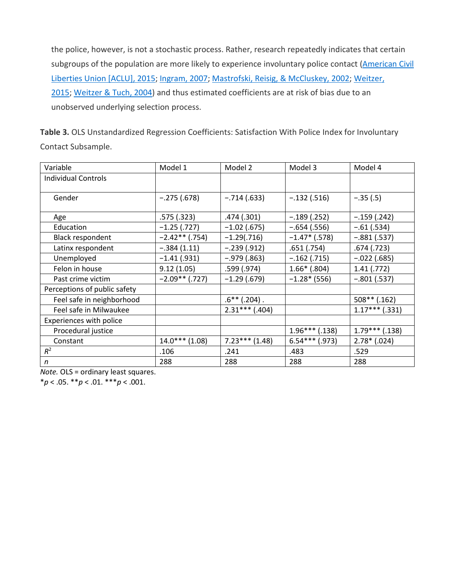the police, however, is not a stochastic process. Rather, research repeatedly indicates that certain subgroups of the population are more likely to experience involuntary police contact (American Civil [Liberties Union \[ACLU\], 2015;](https://journals.sagepub.com/doi/10.1177/0011128718811928) [Ingram, 2007;](https://journals.sagepub.com/doi/10.1177/0011128718811928) [Mastrofski, Reisig, & McCluskey, 2002;](https://journals.sagepub.com/doi/10.1177/0011128718811928) [Weitzer,](https://journals.sagepub.com/doi/10.1177/0011128718811928)  [2015;](https://journals.sagepub.com/doi/10.1177/0011128718811928) [Weitzer & Tuch, 2004\)](https://journals.sagepub.com/doi/10.1177/0011128718811928) and thus estimated coefficients are at risk of bias due to an unobserved underlying selection process.

**Table 3.** OLS Unstandardized Regression Coefficients: Satisfaction With Police Index for Involuntary Contact Subsample.

| Variable                     | Model 1          | Model 2          | Model 3          | Model 4          |
|------------------------------|------------------|------------------|------------------|------------------|
| <b>Individual Controls</b>   |                  |                  |                  |                  |
|                              |                  |                  |                  |                  |
| Gender                       | $-.275(.678)$    | $-.714(.633)$    | $-.132(.516)$    | $-.35(.5)$       |
|                              |                  |                  |                  |                  |
| Age                          | .575(.323)       | .474 (.301)      | $-.189(.252)$    | $-.159(.242)$    |
| Education                    | $-1.25$ (.727)   | $-1.02$ (.675)   | $-.654(.556)$    | $-.61(.534)$     |
| <b>Black respondent</b>      | $-2.42**$ (.754) | $-1.29(.716)$    | $-1.47*$ (.578)  | $-.881(.537)$    |
| Latinx respondent            | $-.384(1.11)$    | $-.239(.912)$    | .651(.754)       | .674(.723)       |
| Unemployed                   | $-1.41$ (.931)   | $-.979(.863)$    | $-.162(.715)$    | $-.022(.685)$    |
| Felon in house               | 9.12(1.05)       | .599 (.974)      | $1.66*$ (.804)   | 1.41(.772)       |
| Past crime victim            | $-2.09**$ (.727) | $-1.29(0.679)$   | $-1.28*(556)$    | $-.801(.537)$    |
| Perceptions of public safety |                  |                  |                  |                  |
| Feel safe in neighborhood    |                  | $.6$ ** (.204).  |                  | $508**$ (.162)   |
| Feel safe in Milwaukee       |                  | $2.31***$ (.404) |                  | $1.17***$ (.331) |
| Experiences with police      |                  |                  |                  |                  |
| Procedural justice           |                  |                  | $1.96***$ (.138) | $1.79***$ (.138) |
| Constant                     | $14.0***$ (1.08) | $7.23***$ (1.48) | $6.54***$ (.973) | $2.78*$ (.024)   |
| $R^2$                        | .106             | .241             | .483             | .529             |
| $\mathsf{n}$                 | 288              | 288              | 288              | 288              |

*Note.* OLS = ordinary least squares.

\**p* < .05. \*\**p* < .01. \*\*\**p* < .001.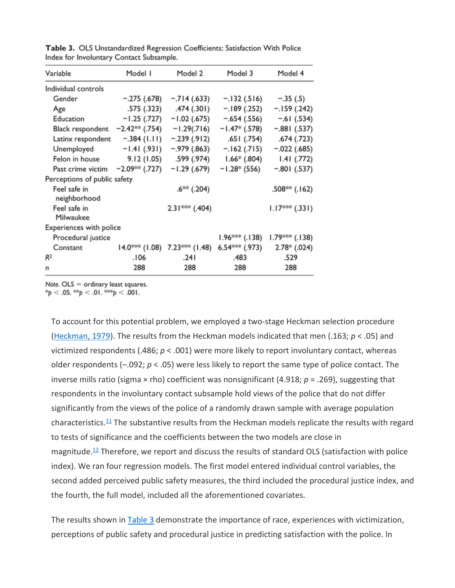| Variable                                      | Model I                       | Model 2                 | Model 3                       | Model 4                    |
|-----------------------------------------------|-------------------------------|-------------------------|-------------------------------|----------------------------|
| Individual controls                           |                               |                         |                               |                            |
| Gender                                        | $-.275(.678)$                 | $-.714(.633)$           | $-.132(.516)$                 | $-.35(.5)$                 |
| Age                                           |                               | .575 (.323) .474 (.301) | $-.189(.252)$                 | $-.159(.242)$              |
| Education                                     | $-1.25$ (.727)                | $-1.02$ (.675)          | $-.654(.556)$                 | $-.61(.534)$               |
| Black respondent $-2.42$ <sup>##</sup> (.754) |                               | $-1.29(.716)$           | $-1.47*$ (.578)               | $-.881(.537)$              |
| Latinx respondent                             | $-.384(1.11)$                 | $-.239(.912)$           | .651 (.754)                   | .674 (.723)                |
| Unemployed                                    | -1.41 (.931)                  |                         | $-.979(.863)$ $-.162(.715)$   | $-.022(.685)$              |
| Felon in house                                |                               | 9.12 (1.05) .599 (.974) | $1.66*$ (.804)                | $1.41$ (.772)              |
| Past crime victim                             | $-2.09$ <sup>ses</sup> (.727) | $-1.29(0.679)$          | $-1.28*(556)$                 | $-.801(.537)$              |
| Perceptions of public safety                  |                               |                         |                               |                            |
| Feel safe in                                  |                               | $.6***$ (.204)          |                               | $.508$ <sup>*</sup> (.162) |
| neighborhood<br>Feel safe in<br>Milwaukee     |                               | $2.31***$ (.404)        |                               | $1.17***$ (.331)           |
| Experiences with police                       |                               |                         |                               |                            |
| Procedural justice                            |                               |                         | $1.96***$ (.138)              | $1.79***$ (.138)           |
| Constant                                      | $14.0$ *** (1.08)             | 7.23*** (1.48)          | $6.54$ <sup>#e#e</sup> (.973) | $2.78*(.024)$              |
| R <sup>2</sup>                                | .106                          | .241                    | .483                          | .529                       |
| n                                             | 288                           | 288                     | 288                           | 288                        |

Table 3. OLS Unstandardized Regression Coefficients: Satisfaction With Police Index for Involuntary Contact Subsample.

Note.  $OLS =$  ordinary least squares.

 $\frac{1}{2}$   $\triangleright$  0.05.  $\frac{1}{2}$   $\triangleright$  0.01.  $\frac{1}{2}$   $\triangleright$  0.01.

To account for this potential problem, we employed a two-stage Heckman selection procedure [\(Heckman, 1979\)](https://journals.sagepub.com/doi/10.1177/0011128718811928). The results from the Heckman models indicated that men (.163; *p* < .05) and victimized respondents (.486; *p* < .001) were more likely to report involuntary contact, whereas older respondents (–.092; *p* < .05) were less likely to report the same type of police contact. The inverse mills ratio (sigma × rho) coefficient was nonsignificant (4.918; *p* = .269), suggesting that respondents in the involuntary contact subsample hold views of the police that do not differ significantly from the views of the police of a randomly drawn sample with average population characteristics. $11$  The substantive results from the Heckman models replicate the results with regard to tests of significance and the coefficients between the two models are close in magnitude.<sup>12</sup> Therefore, we report and discuss the results of standard OLS (satisfaction with police index). We ran four regression models. The first model entered individual control variables, the second added perceived public safety measures, the third included the procedural justice index, and the fourth, the full model, included all the aforementioned covariates.

The results shown in [Table 3](https://journals.sagepub.com/doi/10.1177/0011128718811928) demonstrate the importance of race, experiences with victimization, perceptions of public safety and procedural justice in predicting satisfaction with the police. In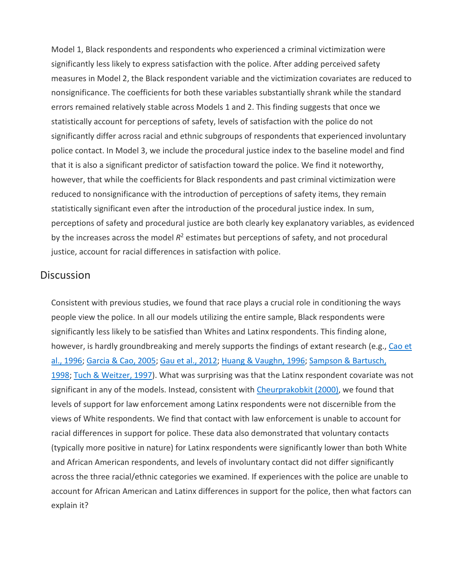Model 1, Black respondents and respondents who experienced a criminal victimization were significantly less likely to express satisfaction with the police. After adding perceived safety measures in Model 2, the Black respondent variable and the victimization covariates are reduced to nonsignificance. The coefficients for both these variables substantially shrank while the standard errors remained relatively stable across Models 1 and 2. This finding suggests that once we statistically account for perceptions of safety, levels of satisfaction with the police do not significantly differ across racial and ethnic subgroups of respondents that experienced involuntary police contact. In Model 3, we include the procedural justice index to the baseline model and find that it is also a significant predictor of satisfaction toward the police. We find it noteworthy, however, that while the coefficients for Black respondents and past criminal victimization were reduced to nonsignificance with the introduction of perceptions of safety items, they remain statistically significant even after the introduction of the procedural justice index. In sum, perceptions of safety and procedural justice are both clearly key explanatory variables, as evidenced by the increases across the model  $R^2$  estimates but perceptions of safety, and not procedural justice, account for racial differences in satisfaction with police.

#### **Discussion**

Consistent with previous studies, we found that race plays a crucial role in conditioning the ways people view the police. In all our models utilizing the entire sample, Black respondents were significantly less likely to be satisfied than Whites and Latinx respondents. This finding alone, however, is hardly groundbreaking and merely supports the findings of extant research (e.g., Cao et [al., 1996;](https://journals.sagepub.com/doi/10.1177/0011128718811928) [Garcia & Cao, 2005;](https://journals.sagepub.com/doi/10.1177/0011128718811928) [Gau et al., 2012;](https://journals.sagepub.com/doi/10.1177/0011128718811928) [Huang & Vaughn, 1996;](https://journals.sagepub.com/doi/10.1177/0011128718811928) [Sampson & Bartusch,](https://journals.sagepub.com/doi/10.1177/0011128718811928)  [1998;](https://journals.sagepub.com/doi/10.1177/0011128718811928) [Tuch & Weitzer, 1997\)](https://journals.sagepub.com/doi/10.1177/0011128718811928). What was surprising was that the Latinx respondent covariate was not significant in any of the models. Instead, consistent with [Cheurprakobkit \(2000\),](https://journals.sagepub.com/doi/10.1177/0011128718811928) we found that levels of support for law enforcement among Latinx respondents were not discernible from the views of White respondents. We find that contact with law enforcement is unable to account for racial differences in support for police. These data also demonstrated that voluntary contacts (typically more positive in nature) for Latinx respondents were significantly lower than both White and African American respondents, and levels of involuntary contact did not differ significantly across the three racial/ethnic categories we examined. If experiences with the police are unable to account for African American and Latinx differences in support for the police, then what factors can explain it?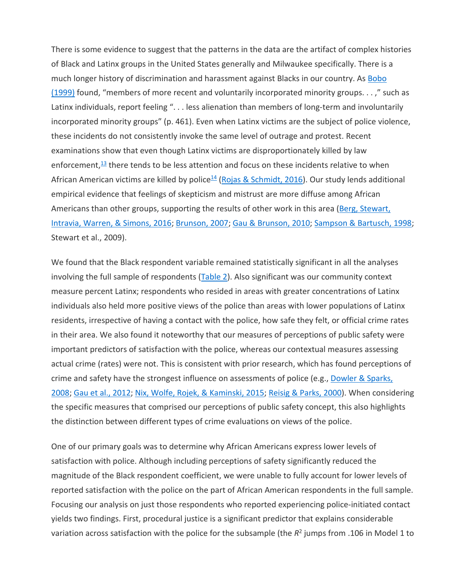There is some evidence to suggest that the patterns in the data are the artifact of complex histories of Black and Latinx groups in the United States generally and Milwaukee specifically. There is a much longer history of discrimination and harassment against Blacks in our country. As Bobo [\(1999\)](https://journals.sagepub.com/doi/10.1177/0011128718811928) found, "members of more recent and voluntarily incorporated minority groups. . . ," such as Latinx individuals, report feeling "... less alienation than members of long-term and involuntarily incorporated minority groups" (p. 461). Even when Latinx victims are the subject of police violence, these incidents do not consistently invoke the same level of outrage and protest. Recent examinations show that even though Latinx victims are disproportionately killed by law enforcement, $13$  there tends to be less attention and focus on these incidents relative to when African American victims are killed by police<sup>14</sup> [\(Rojas & Schmidt, 2016\)](https://journals.sagepub.com/doi/10.1177/0011128718811928). Our study lends additional empirical evidence that feelings of skepticism and mistrust are more diffuse among African Americans than other groups, supporting the results of other work in this area [\(Berg, Stewart,](https://journals.sagepub.com/doi/10.1177/0011128718811928)  [Intravia, Warren, & Simons, 2016;](https://journals.sagepub.com/doi/10.1177/0011128718811928) [Brunson, 2007;](https://journals.sagepub.com/doi/10.1177/0011128718811928) [Gau & Brunson, 2010;](https://journals.sagepub.com/doi/10.1177/0011128718811928) [Sampson & Bartusch, 1998;](https://journals.sagepub.com/doi/10.1177/0011128718811928) Stewart et al., 2009).

We found that the Black respondent variable remained statistically significant in all the analyses involving the full sample of respondents [\(Table 2\)](https://journals.sagepub.com/doi/10.1177/0011128718811928). Also significant was our community context measure percent Latinx; respondents who resided in areas with greater concentrations of Latinx individuals also held more positive views of the police than areas with lower populations of Latinx residents, irrespective of having a contact with the police, how safe they felt, or official crime rates in their area. We also found it noteworthy that our measures of perceptions of public safety were important predictors of satisfaction with the police, whereas our contextual measures assessing actual crime (rates) were not. This is consistent with prior research, which has found perceptions of crime and safety have the strongest influence on assessments of police (e.g., [Dowler & Sparks,](https://journals.sagepub.com/doi/10.1177/0011128718811928)  [2008;](https://journals.sagepub.com/doi/10.1177/0011128718811928) [Gau et al., 2012;](https://journals.sagepub.com/doi/10.1177/0011128718811928) [Nix, Wolfe, Rojek, & Kaminski, 2015;](https://journals.sagepub.com/doi/10.1177/0011128718811928) [Reisig & Parks, 2000\)](https://journals.sagepub.com/doi/10.1177/0011128718811928). When considering the specific measures that comprised our perceptions of public safety concept, this also highlights the distinction between different types of crime evaluations on views of the police.

One of our primary goals was to determine why African Americans express lower levels of satisfaction with police. Although including perceptions of safety significantly reduced the magnitude of the Black respondent coefficient, we were unable to fully account for lower levels of reported satisfaction with the police on the part of African American respondents in the full sample. Focusing our analysis on just those respondents who reported experiencing police-initiated contact yields two findings. First, procedural justice is a significant predictor that explains considerable variation across satisfaction with the police for the subsample (the *R*<sup>2</sup> jumps from .106 in Model 1 to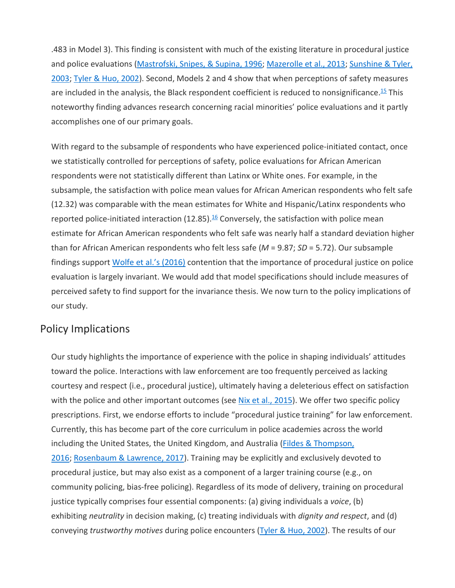.483 in Model 3). This finding is consistent with much of the existing literature in procedural justice and police evaluations [\(Mastrofski, Snipes, & Supina, 1996;](https://journals.sagepub.com/doi/10.1177/0011128718811928) [Mazerolle et al., 2013;](https://journals.sagepub.com/doi/10.1177/0011128718811928) Sunshine & Tyler, [2003;](https://journals.sagepub.com/doi/10.1177/0011128718811928) [Tyler & Huo, 2002\)](https://journals.sagepub.com/doi/10.1177/0011128718811928). Second, Models 2 and 4 show that when perceptions of safety measures are included in the analysis, the Black respondent coefficient is reduced to nonsignificance.<sup>15</sup> This noteworthy finding advances research concerning racial minorities' police evaluations and it partly accomplishes one of our primary goals.

With regard to the subsample of respondents who have experienced police-initiated contact, once we statistically controlled for perceptions of safety, police evaluations for African American respondents were not statistically different than Latinx or White ones. For example, in the subsample, the satisfaction with police mean values for African American respondents who felt safe (12.32) was comparable with the mean estimates for White and Hispanic/Latinx respondents who reported police-initiated interaction  $(12.85)$ .<sup>16</sup> Conversely, the satisfaction with police mean estimate for African American respondents who felt safe was nearly half a standard deviation higher than for African American respondents who felt less safe (*M* = 9.87; *SD* = 5.72). Our subsample findings support [Wolfe et al.'s \(2016\)](https://journals.sagepub.com/doi/10.1177/0011128718811928) contention that the importance of procedural justice on police evaluation is largely invariant. We would add that model specifications should include measures of perceived safety to find support for the invariance thesis. We now turn to the policy implications of our study.

#### Policy Implications

Our study highlights the importance of experience with the police in shaping individuals' attitudes toward the police. Interactions with law enforcement are too frequently perceived as lacking courtesy and respect (i.e., procedural justice), ultimately having a deleterious effect on satisfaction with the police and other important outcomes (see [Nix et al., 2015\)](https://journals.sagepub.com/doi/10.1177/0011128718811928). We offer two specific policy prescriptions. First, we endorse efforts to include "procedural justice training" for law enforcement. Currently, this has become part of the core curriculum in police academies across the world including the United States, the United Kingdom, and Australia (Fildes & Thompson, [2016;](https://journals.sagepub.com/doi/10.1177/0011128718811928) [Rosenbaum & Lawrence, 2017\)](https://journals.sagepub.com/doi/10.1177/0011128718811928). Training may be explicitly and exclusively devoted to procedural justice, but may also exist as a component of a larger training course (e.g., on community policing, bias-free policing). Regardless of its mode of delivery, training on procedural justice typically comprises four essential components: (a) giving individuals a *voice*, (b) exhibiting *neutrality* in decision making, (c) treating individuals with *dignity and respect*, and (d) conveying *trustworthy motives* during police encounters [\(Tyler & Huo, 2002\)](https://journals.sagepub.com/doi/10.1177/0011128718811928). The results of our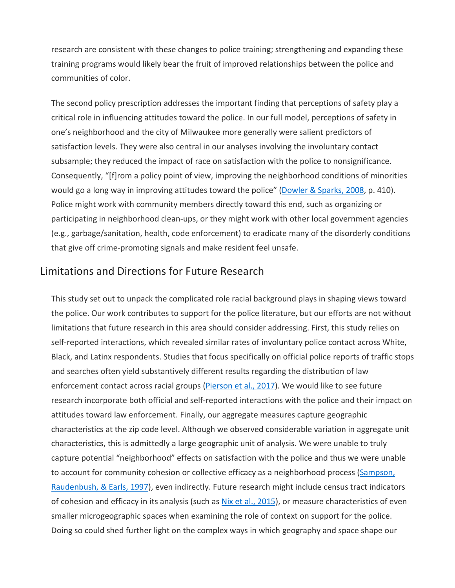research are consistent with these changes to police training; strengthening and expanding these training programs would likely bear the fruit of improved relationships between the police and communities of color.

The second policy prescription addresses the important finding that perceptions of safety play a critical role in influencing attitudes toward the police. In our full model, perceptions of safety in one's neighborhood and the city of Milwaukee more generally were salient predictors of satisfaction levels. They were also central in our analyses involving the involuntary contact subsample; they reduced the impact of race on satisfaction with the police to nonsignificance. Consequently, "[f]rom a policy point of view, improving the neighborhood conditions of minorities would go a long way in improving attitudes toward the police" [\(Dowler & Sparks, 2008,](https://journals.sagepub.com/doi/10.1177/0011128718811928) p. 410). Police might work with community members directly toward this end, such as organizing or participating in neighborhood clean-ups, or they might work with other local government agencies (e.g., garbage/sanitation, health, code enforcement) to eradicate many of the disorderly conditions that give off crime-promoting signals and make resident feel unsafe.

#### Limitations and Directions for Future Research

This study set out to unpack the complicated role racial background plays in shaping views toward the police. Our work contributes to support for the police literature, but our efforts are not without limitations that future research in this area should consider addressing. First, this study relies on self-reported interactions, which revealed similar rates of involuntary police contact across White, Black, and Latinx respondents. Studies that focus specifically on official police reports of traffic stops and searches often yield substantively different results regarding the distribution of law enforcement contact across racial groups [\(Pierson et al., 2017\)](https://journals.sagepub.com/doi/10.1177/0011128718811928). We would like to see future research incorporate both official and self-reported interactions with the police and their impact on attitudes toward law enforcement. Finally, our aggregate measures capture geographic characteristics at the zip code level. Although we observed considerable variation in aggregate unit characteristics, this is admittedly a large geographic unit of analysis. We were unable to truly capture potential "neighborhood" effects on satisfaction with the police and thus we were unable to account for community cohesion or collective efficacy as a neighborhood process (Sampson, [Raudenbush, & Earls, 1997\)](https://journals.sagepub.com/doi/10.1177/0011128718811928), even indirectly. Future research might include census tract indicators of cohesion and efficacy in its analysis (such as [Nix et al., 2015\)](https://journals.sagepub.com/doi/10.1177/0011128718811928), or measure characteristics of even smaller microgeographic spaces when examining the role of context on support for the police. Doing so could shed further light on the complex ways in which geography and space shape our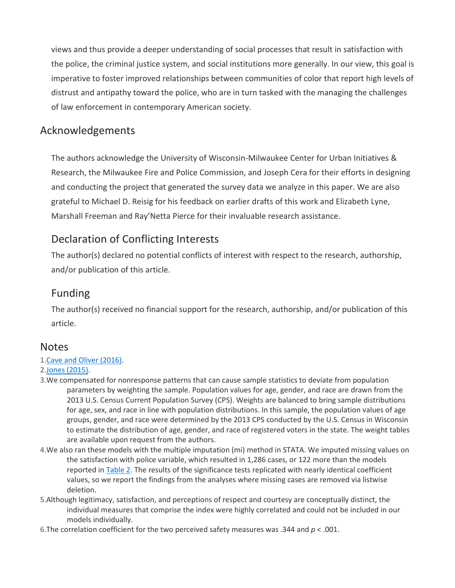views and thus provide a deeper understanding of social processes that result in satisfaction with the police, the criminal justice system, and social institutions more generally. In our view, this goal is imperative to foster improved relationships between communities of color that report high levels of distrust and antipathy toward the police, who are in turn tasked with the managing the challenges of law enforcement in contemporary American society.

#### Acknowledgements

The authors acknowledge the University of Wisconsin-Milwaukee Center for Urban Initiatives & Research, the Milwaukee Fire and Police Commission, and Joseph Cera for their efforts in designing and conducting the project that generated the survey data we analyze in this paper. We are also grateful to Michael D. Reisig for his feedback on earlier drafts of this work and Elizabeth Lyne, Marshall Freeman and Ray'Netta Pierce for their invaluable research assistance.

# Declaration of Conflicting Interests

The author(s) declared no potential conflicts of interest with respect to the research, authorship, and/or publication of this article.

#### Funding

The author(s) received no financial support for the research, authorship, and/or publication of this article.

#### **Notes**

#### 1[.Cave and Oliver \(2016\).](https://journals.sagepub.com/doi/10.1177/0011128718811928)

#### 2[.Jones \(2015\).](https://journals.sagepub.com/doi/10.1177/0011128718811928)

- 3.We compensated for nonresponse patterns that can cause sample statistics to deviate from population parameters by weighting the sample. Population values for age, gender, and race are drawn from the 2013 U.S. Census Current Population Survey (CPS). Weights are balanced to bring sample distributions for age, sex, and race in line with population distributions. In this sample, the population values of age groups, gender, and race were determined by the 2013 CPS conducted by the U.S. Census in Wisconsin to estimate the distribution of age, gender, and race of registered voters in the state. The weight tables are available upon request from the authors.
- 4.We also ran these models with the multiple imputation (mi) method in STATA. We imputed missing values on the satisfaction with police variable, which resulted in 1,286 cases, or 122 more than the models reported in [Table 2.](https://journals.sagepub.com/doi/10.1177/0011128718811928) The results of the significance tests replicated with nearly identical coefficient values, so we report the findings from the analyses where missing cases are removed via listwise deletion.
- 5.Although legitimacy, satisfaction, and perceptions of respect and courtesy are conceptually distinct, the individual measures that comprise the index were highly correlated and could not be included in our models individually.
- 6.The correlation coefficient for the two perceived safety measures was .344 and *p* < .001.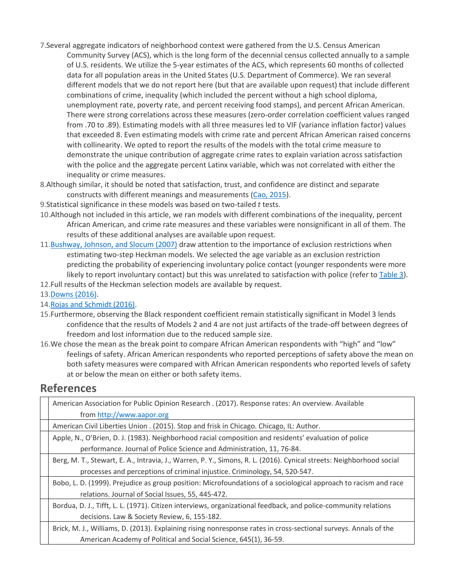- 7.Several aggregate indicators of neighborhood context were gathered from the U.S. Census American Community Survey (ACS), which is the long form of the decennial census collected annually to a sample of U.S. residents. We utilize the 5-year estimates of the ACS, which represents 60 months of collected data for all population areas in the United States (U.S. Department of Commerce). We ran several different models that we do not report here (but that are available upon request) that include different combinations of crime, inequality (which included the percent without a high school diploma, unemployment rate, poverty rate, and percent receiving food stamps), and percent African American. There were strong correlations across these measures (zero-order correlation coefficient values ranged from .70 to .89). Estimating models with all three measures led to VIF (variance inflation factor) values that exceeded 8. Even estimating models with crime rate and percent African American raised concerns with collinearity. We opted to report the results of the models with the total crime measure to demonstrate the unique contribution of aggregate crime rates to explain variation across satisfaction with the police and the aggregate percent Latinx variable, which was not correlated with either the inequality or crime measures.
- 8.Although similar, it should be noted that satisfaction, trust, and confidence are distinct and separate constructs with different meanings and measurements [\(Cao, 2015\)](https://journals.sagepub.com/doi/10.1177/0011128718811928).
- 9.Statistical significance in these models was based on two-tailed *t* tests.
- 10.Although not included in this article, we ran models with different combinations of the inequality, percent African American, and crime rate measures and these variables were nonsignificant in all of them. The results of these additional analyses are available upon request.
- 11[.Bushway, Johnson, and Slocum \(2007\)](https://journals.sagepub.com/doi/10.1177/0011128718811928) draw attention to the importance of exclusion restrictions when estimating two-step Heckman models. We selected the age variable as an exclusion restriction predicting the probability of experiencing involuntary police contact (younger respondents were more likely to report involuntary contact) but this was unrelated to satisfaction with police (refer to [Table 3\)](https://journals.sagepub.com/doi/10.1177/0011128718811928).
- 12.Full results of the Heckman selection models are available by request.
- 13[.Downs \(2016\).](https://journals.sagepub.com/doi/10.1177/0011128718811928)
- 14[.Rojas and Schmidt \(2016\).](https://journals.sagepub.com/doi/10.1177/0011128718811928)
- 15.Furthermore, observing the Black respondent coefficient remain statistically significant in Model 3 lends confidence that the results of Models 2 and 4 are not just artifacts of the trade-off between degrees of freedom and lost information due to the reduced sample size.
- 16.We chose the mean as the break point to compare African American respondents with "high" and "low" feelings of safety. African American respondents who reported perceptions of safety above the mean on both safety measures were compared with African American respondents who reported levels of safety at or below the mean on either or both safety items.

# **References**

| American Association for Public Opinion Research . (2017). Response rates: An overview. Available                    |
|----------------------------------------------------------------------------------------------------------------------|
| from http://www.aapor.org                                                                                            |
| American Civil Liberties Union . (2015). Stop and frisk in Chicago. Chicago, IL: Author.                             |
| Apple, N., O'Brien, D. J. (1983). Neighborhood racial composition and residents' evaluation of police                |
| performance. Journal of Police Science and Administration, 11, 76-84.                                                |
| Berg, M. T., Stewart, E. A., Intravia, J., Warren, P. Y., Simons, R. L. (2016). Cynical streets: Neighborhood social |
| processes and perceptions of criminal injustice. Criminology, 54, 520-547.                                           |
| Bobo, L. D. (1999). Prejudice as group position: Microfoundations of a sociological approach to racism and race      |
| relations. Journal of Social Issues, 55, 445-472.                                                                    |
| Bordua, D. J., Tifft, L. L. (1971). Citizen interviews, organizational feedback, and police-community relations      |
| decisions. Law & Society Review, 6, 155-182.                                                                         |
| Brick, M. J., Williams, D. (2013). Explaining rising nonresponse rates in cross-sectional surveys. Annals of the     |
| American Academy of Political and Social Science, 645(1), 36-59.                                                     |
|                                                                                                                      |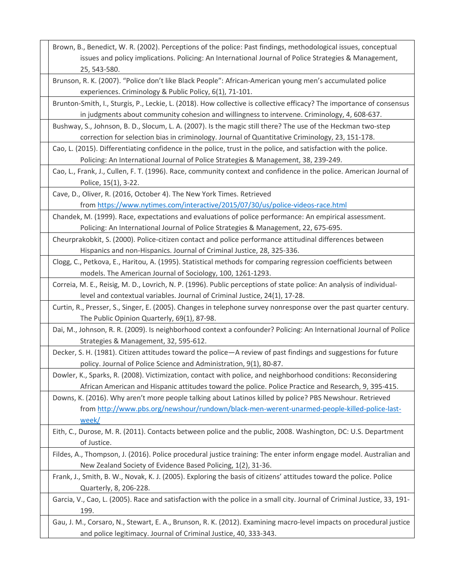| Brown, B., Benedict, W. R. (2002). Perceptions of the police: Past findings, methodological issues, conceptual                                                                                                        |
|-----------------------------------------------------------------------------------------------------------------------------------------------------------------------------------------------------------------------|
| issues and policy implications. Policing: An International Journal of Police Strategies & Management,                                                                                                                 |
| 25, 543-580.                                                                                                                                                                                                          |
| Brunson, R. K. (2007). "Police don't like Black People": African-American young men's accumulated police                                                                                                              |
| experiences. Criminology & Public Policy, 6(1), 71-101.                                                                                                                                                               |
| Brunton-Smith, I., Sturgis, P., Leckie, L. (2018). How collective is collective efficacy? The importance of consensus<br>in judgments about community cohesion and willingness to intervene. Criminology, 4, 608-637. |
| Bushway, S., Johnson, B. D., Slocum, L. A. (2007). Is the magic still there? The use of the Heckman two-step                                                                                                          |
| correction for selection bias in criminology. Journal of Quantitative Criminology, 23, 151-178.                                                                                                                       |
| Cao, L. (2015). Differentiating confidence in the police, trust in the police, and satisfaction with the police.                                                                                                      |
| Policing: An International Journal of Police Strategies & Management, 38, 239-249.                                                                                                                                    |
| Cao, L., Frank, J., Cullen, F. T. (1996). Race, community context and confidence in the police. American Journal of                                                                                                   |
| Police, 15(1), 3-22.                                                                                                                                                                                                  |
| Cave, D., Oliver, R. (2016, October 4). The New York Times. Retrieved                                                                                                                                                 |
| from https://www.nytimes.com/interactive/2015/07/30/us/police-videos-race.html                                                                                                                                        |
| Chandek, M. (1999). Race, expectations and evaluations of police performance: An empirical assessment.                                                                                                                |
| Policing: An International Journal of Police Strategies & Management, 22, 675-695.                                                                                                                                    |
| Cheurprakobkit, S. (2000). Police-citizen contact and police performance attitudinal differences between                                                                                                              |
| Hispanics and non-Hispanics. Journal of Criminal Justice, 28, 325-336.                                                                                                                                                |
| Clogg, C., Petkova, E., Haritou, A. (1995). Statistical methods for comparing regression coefficients between                                                                                                         |
| models. The American Journal of Sociology, 100, 1261-1293.                                                                                                                                                            |
| Correia, M. E., Reisig, M. D., Lovrich, N. P. (1996). Public perceptions of state police: An analysis of individual-                                                                                                  |
| level and contextual variables. Journal of Criminal Justice, 24(1), 17-28.                                                                                                                                            |
| Curtin, R., Presser, S., Singer, E. (2005). Changes in telephone survey nonresponse over the past quarter century.                                                                                                    |
| The Public Opinion Quarterly, 69(1), 87-98.                                                                                                                                                                           |
| Dai, M., Johnson, R. R. (2009). Is neighborhood context a confounder? Policing: An International Journal of Police                                                                                                    |
| Strategies & Management, 32, 595-612.                                                                                                                                                                                 |
| Decker, S. H. (1981). Citizen attitudes toward the police-A review of past findings and suggestions for future                                                                                                        |
| policy. Journal of Police Science and Administration, 9(1), 80-87.                                                                                                                                                    |
| Dowler, K., Sparks, R. (2008). Victimization, contact with police, and neighborhood conditions: Reconsidering                                                                                                         |
| African American and Hispanic attitudes toward the police. Police Practice and Research, 9, 395-415.<br>Downs, K. (2016). Why aren't more people talking about Latinos killed by police? PBS Newshour. Retrieved      |
| from http://www.pbs.org/newshour/rundown/black-men-werent-unarmed-people-killed-police-last-                                                                                                                          |
| week/                                                                                                                                                                                                                 |
| Eith, C., Durose, M. R. (2011). Contacts between police and the public, 2008. Washington, DC: U.S. Department                                                                                                         |
| of Justice.                                                                                                                                                                                                           |
| Fildes, A., Thompson, J. (2016). Police procedural justice training: The enter inform engage model. Australian and                                                                                                    |
| New Zealand Society of Evidence Based Policing, 1(2), 31-36.                                                                                                                                                          |
| Frank, J., Smith, B. W., Novak, K. J. (2005). Exploring the basis of citizens' attitudes toward the police. Police                                                                                                    |
| Quarterly, 8, 206-228.                                                                                                                                                                                                |
| Garcia, V., Cao, L. (2005). Race and satisfaction with the police in a small city. Journal of Criminal Justice, 33, 191-                                                                                              |
| 199.                                                                                                                                                                                                                  |
| Gau, J. M., Corsaro, N., Stewart, E. A., Brunson, R. K. (2012). Examining macro-level impacts on procedural justice                                                                                                   |
| and police legitimacy. Journal of Criminal Justice, 40, 333-343.                                                                                                                                                      |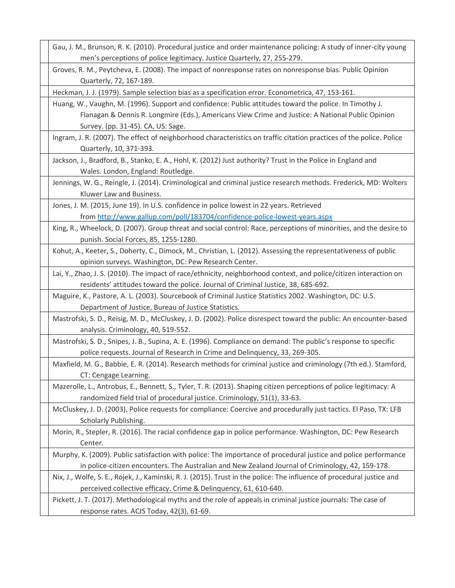| Gau, J. M., Brunson, R. K. (2010). Procedural justice and order maintenance policing: A study of inner-city young      |
|------------------------------------------------------------------------------------------------------------------------|
| men's perceptions of police legitimacy. Justice Quarterly, 27, 255-279.                                                |
| Groves, R. M., Peytcheva, E. (2008). The impact of nonresponse rates on nonresponse bias. Public Opinion               |
| Quarterly, 72, 167-189.                                                                                                |
| Heckman, J. J. (1979). Sample selection bias as a specification error. Econometrica, 47, 153-161.                      |
| Huang, W., Vaughn, M. (1996). Support and confidence: Public attitudes toward the police. In Timothy J.                |
| Flanagan & Dennis R. Longmire (Eds.), Americans View Crime and Justice: A National Public Opinion                      |
| Survey. (pp. 31-45). CA, US: Sage.                                                                                     |
| Ingram, J. R. (2007). The effect of neighborhood characteristics on traffic citation practices of the police. Police   |
| Quarterly, 10, 371-393.                                                                                                |
| Jackson, J., Bradford, B., Stanko, E. A., Hohl, K. (2012) Just authority? Trust in the Police in England and           |
| Wales. London, England: Routledge.                                                                                     |
| Jennings, W. G., Reingle, J. (2014). Criminological and criminal justice research methods. Frederick, MD: Wolters      |
| Kluwer Law and Business.                                                                                               |
| Jones, J. M. (2015, June 19). In U.S. confidence in police lowest in 22 years. Retrieved                               |
| from http://www.gallup.com/poll/183704/confidence-police-lowest-years.aspx                                             |
| King, R., Wheelock, D. (2007). Group threat and social control: Race, perceptions of minorities, and the desire to     |
| punish. Social Forces, 85, 1255-1280.                                                                                  |
| Kohut, A., Keeter, S., Doherty, C., Dimock, M., Christian, L. (2012). Assessing the representativeness of public       |
| opinion surveys. Washington, DC: Pew Research Center.                                                                  |
| Lai, Y., Zhao, J. S. (2010). The impact of race/ethnicity, neighborhood context, and police/citizen interaction on     |
| residents' attitudes toward the police. Journal of Criminal Justice, 38, 685-692.                                      |
| Maguire, K., Pastore, A. L. (2003). Sourcebook of Criminal Justice Statistics 2002. Washington, DC: U.S.               |
| Department of Justice, Bureau of Justice Statistics.                                                                   |
| Mastrofski, S. D., Reisig, M. D., McCluskey, J. D. (2002). Police disrespect toward the public: An encounter-based     |
| analysis. Criminology, 40, 519-552.                                                                                    |
| Mastrofski, S. D., Snipes, J. B., Supina, A. E. (1996). Compliance on demand: The public's response to specific        |
| police requests. Journal of Research in Crime and Delinquency, 33, 269-305.                                            |
| Maxfield, M. G., Babbie, E. R. (2014). Research methods for criminal justice and criminology (7th ed.). Stamford,      |
| CT: Cengage Learning.                                                                                                  |
| Mazerolle, L., Antrobus, E., Bennett, S., Tyler, T. R. (2013). Shaping citizen perceptions of police legitimacy: A     |
| randomized field trial of procedural justice. Criminology, 51(1), 33-63.                                               |
| McCluskey, J. D. (2003). Police requests for compliance: Coercive and procedurally just tactics. El Paso, TX: LFB      |
| Scholarly Publishing.                                                                                                  |
| Morin, R., Stepler, R. (2016). The racial confidence gap in police performance. Washington, DC: Pew Research           |
| Center.                                                                                                                |
| Murphy, K. (2009). Public satisfaction with police: The importance of procedural justice and police performance        |
| in police-citizen encounters. The Australian and New Zealand Journal of Criminology, 42, 159-178.                      |
| Nix, J., Wolfe, S. E., Rojek, J., Kaminski, R. J. (2015). Trust in the police: The influence of procedural justice and |
| perceived collective efficacy. Crime & Delinquency, 61, 610-640.                                                       |
| Pickett, J. T. (2017). Methodological myths and the role of appeals in criminal justice journals: The case of          |
| response rates. ACJS Today, 42(3), 61-69.                                                                              |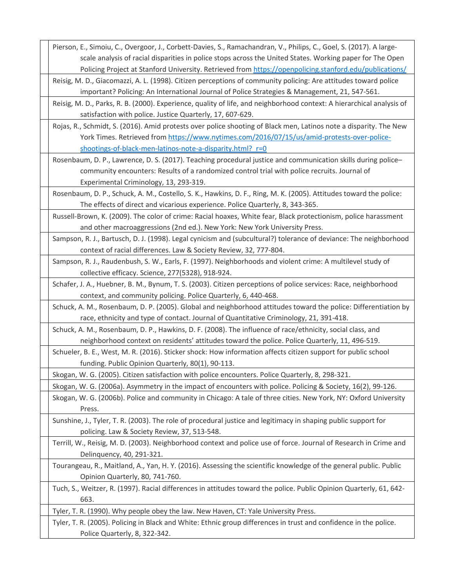Pierson, E., Simoiu, C., Overgoor, J., Corbett-Davies, S., Ramachandran, V., Philips, C., Goel, S. (2017). A largescale analysis of racial disparities in police stops across the United States. Working paper for The Open Policing Project at Stanford University. Retrieved from <https://openpolicing.stanford.edu/publications/>

Reisig, M. D., Giacomazzi, A. L. (1998). Citizen perceptions of community policing: Are attitudes toward police important? Policing: An International Journal of Police Strategies & Management, 21, 547-561.

Reisig, M. D., Parks, R. B. (2000). Experience, quality of life, and neighborhood context: A hierarchical analysis of satisfaction with police. Justice Quarterly, 17, 607-629.

Rojas, R., Schmidt, S. (2016). Amid protests over police shooting of Black men, Latinos note a disparity. The New York Times. Retrieved from [https://www.nytimes.com/2016/07/15/us/amid-protests-over-police](https://www.nytimes.com/2016/07/15/us/amid-protests-over-police-shootings-of-black-men-latinos-note-a-disparity.html?_r=0)shootings-of-black-men-latinos-note-a-disparity.html? r=0

Rosenbaum, D. P., Lawrence, D. S. (2017). Teaching procedural justice and communication skills during police– community encounters: Results of a randomized control trial with police recruits. Journal of Experimental Criminology, 13, 293-319.

Rosenbaum, D. P., Schuck, A. M., Costello, S. K., Hawkins, D. F., Ring, M. K. (2005). Attitudes toward the police: The effects of direct and vicarious experience. Police Quarterly, 8, 343-365.

Russell-Brown, K. (2009). The color of crime: Racial hoaxes, White fear, Black protectionism, police harassment and other macroaggressions (2nd ed.). New York: New York University Press.

Sampson, R. J., Bartusch, D. J. (1998). Legal cynicism and (subcultural?) tolerance of deviance: The neighborhood context of racial differences. Law & Society Review, 32, 777-804.

Sampson, R. J., Raudenbush, S. W., Earls, F. (1997). Neighborhoods and violent crime: A multilevel study of collective efficacy. Science, 277(5328), 918-924.

Schafer, J. A., Huebner, B. M., Bynum, T. S. (2003). Citizen perceptions of police services: Race, neighborhood context, and community policing. Police Quarterly, 6, 440-468.

Schuck, A. M., Rosenbaum, D. P. (2005). Global and neighborhood attitudes toward the police: Differentiation by race, ethnicity and type of contact. Journal of Quantitative Criminology, 21, 391-418.

Schuck, A. M., Rosenbaum, D. P., Hawkins, D. F. (2008). The influence of race/ethnicity, social class, and neighborhood context on residents' attitudes toward the police. Police Quarterly, 11, 496-519.

Schueler, B. E., West, M. R. (2016). Sticker shock: How information affects citizen support for public school funding. Public Opinion Quarterly, 80(1), 90-113.

Skogan, W. G. (2005). Citizen satisfaction with police encounters. Police Quarterly, 8, 298-321.

Skogan, W. G. (2006a). Asymmetry in the impact of encounters with police. Policing & Society, 16(2), 99-126.

Skogan, W. G. (2006b). Police and community in Chicago: A tale of three cities. New York, NY: Oxford University Press.

Sunshine, J., Tyler, T. R. (2003). The role of procedural justice and legitimacy in shaping public support for policing. Law & Society Review, 37, 513-548.

Terrill, W., Reisig, M. D. (2003). Neighborhood context and police use of force. Journal of Research in Crime and Delinquency, 40, 291-321.

Tourangeau, R., Maitland, A., Yan, H. Y. (2016). Assessing the scientific knowledge of the general public. Public Opinion Quarterly, 80, 741-760.

Tuch, S., Weitzer, R. (1997). Racial differences in attitudes toward the police. Public Opinion Quarterly, 61, 642- 663.

Tyler, T. R. (1990). Why people obey the law. New Haven, CT: Yale University Press.

Tyler, T. R. (2005). Policing in Black and White: Ethnic group differences in trust and confidence in the police. Police Quarterly, 8, 322-342.